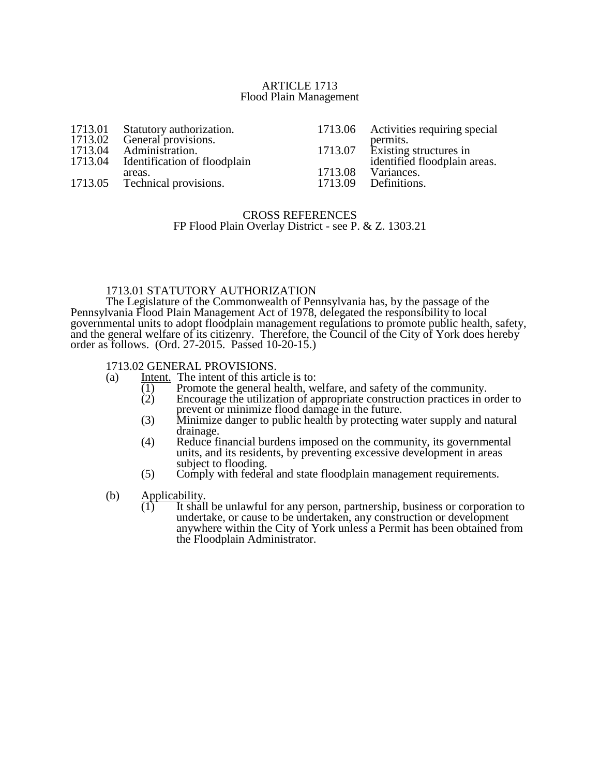#### ARTICLE 1713 Flood Plain Management

| 1713.01 | Statutory authorization.      |         | 1713.06 Activities requiring special |
|---------|-------------------------------|---------|--------------------------------------|
| 1713.02 | General provisions.           |         | permits.                             |
| 1713.04 | Administration.               |         | 1713.07 Existing structures in       |
| 1713.04 | Identification of floodplain  |         | identified floodplain areas.         |
|         | areas.                        | 1713.08 | Variances.                           |
|         | 1713.05 Technical provisions. | 1713.09 | Definitions.                         |

## CROSS REFERENCES FP Flood Plain Overlay District - see P. & Z. 1303.21

## 1713.01 STATUTORY AUTHORIZATION

The Legislature of the Commonwealth of Pennsylvania has, by the passage of the Pennsylvania Flood Plain Management Act of 1978, delegated the responsibility to local governmental units to adopt floodplain management regulations to promote public health, safety, and the general welfare of its citizenry. Therefore, the Council of the City of York does hereby order as follows. (Ord. 27-2015. Passed 10-20-15.)

# 1713.02 GENERAL PROVISIONS.<br>(a) Intent. The intent of this artic

- Intent. The intent of this article is to:<br> $\overline{(1)}$  Promote the general health, we
	- $\overline{(1)}$  Promote the general health, welfare, and safety of the community.<br>  $\overline{(2)}$  Encourage the utilization of appropriate construction practices in c
	- Encourage the utilization of appropriate construction practices in order to prevent or minimize flood damage in the future.
	- (3) Minimize danger to public health by protecting water supply and natural drainage.
	- (4) Reduce financial burdens imposed on the community, its governmental units, and its residents, by preventing excessive development in areas subject to flooding.
	- (5) Comply with federal and state floodplain management requirements.
- (b) Applicability.
	- $\overline{(1)}$  It shall be unlawful for any person, partnership, business or corporation to undertake, or cause to be undertaken, any construction or development anywhere within the City of York unless a Permit has been obtained from the Floodplain Administrator.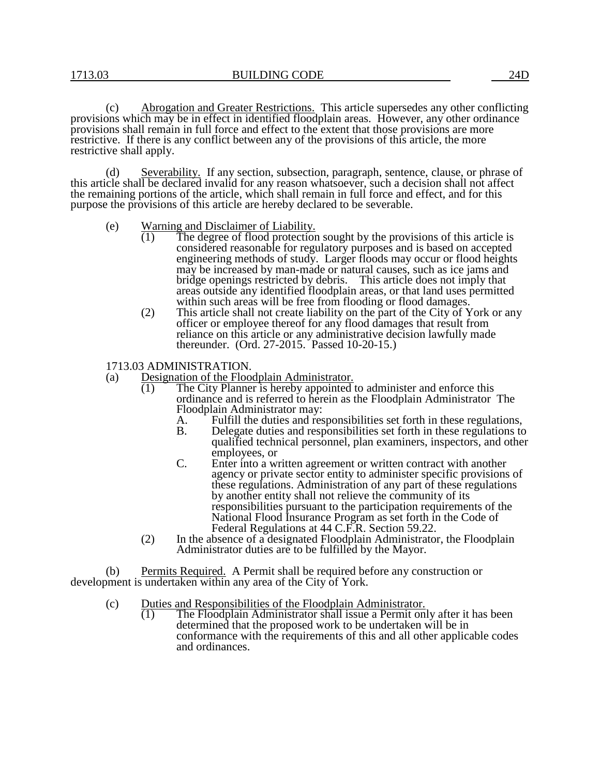(c) Abrogation and Greater Restrictions. This article supersedes any other conflicting provisions which may be in effect in identified floodplain areas. However, any other ordinance provisions shall remain in full force and effect to the extent that those provisions are more restrictive. If there is any conflict between any of the provisions of this article, the more restrictive shall apply.

(d) Severability. If any section, subsection, paragraph, sentence, clause, or phrase of this article shall be declared invalid for any reason whatsoever, such a decision shall not affect the remaining portions of the article, which shall remain in full force and effect, and for this purpose the provisions of this article are hereby declared to be severable.

- (e) Warning and Disclaimer of Liability.<br>  $(1)$  The degree of flood protection
	- The degree of flood protection sought by the provisions of this article is considered reasonable for regulatory purposes and is based on accepted engineering methods of study. Larger floods may occur or flood heights may be increased by man-made or natural causes, such as ice jams and bridge openings restricted by debris. This article does not imply that areas outside any identified floodplain areas, or that land uses permitted within such areas will be free from flooding or flood damages.
	- (2) This article shall not create liability on the part of the City of York or any officer or employee thereof for any flood damages that result from reliance on this article or any administrative decision lawfully made thereunder. (Ord. 27-2015. Passed 10-20-15.)
- 1713.03 ADMINISTRATION.
- (a) Designation of the Floodplain Administrator.
	- (1) The City Planner is hereby appointed to administer and enforce this ordinance and is referred to herein as the Floodplain Administrator The Floodplain Administrator may:<br>A. Fulfill the duties and res
		- A. Fulfill the duties and responsibilities set forth in these regulations,<br>B. Delegate duties and responsibilities set forth in these regulations to
		- B. Delegate duties and responsibilities set forth in these regulations to qualified technical personnel, plan examiners, inspectors, and other employees, or
		- C. Enter into a written agreement or written contract with another agency or private sector entity to administer specific provisions of these regulations. Administration of any part of these regulations by another entity shall not relieve the community of its responsibilities pursuant to the participation requirements of the National Flood Insurance Program as set forth in the Code of Federal Regulations at 44 C.F.R. Section 59.22.
	- (2) In the absence of a designated Floodplain Administrator, the Floodplain Administrator duties are to be fulfilled by the Mayor.

(b) Permits Required. A Permit shall be required before any construction or development is undertaken within any area of the City of York.

- (c) Duties and Responsibilities of the Floodplain Administrator.
	- (1) The Floodplain Administrator shall issue a Permit only after it has been determined that the proposed work to be undertaken will be in conformance with the requirements of this and all other applicable codes and ordinances.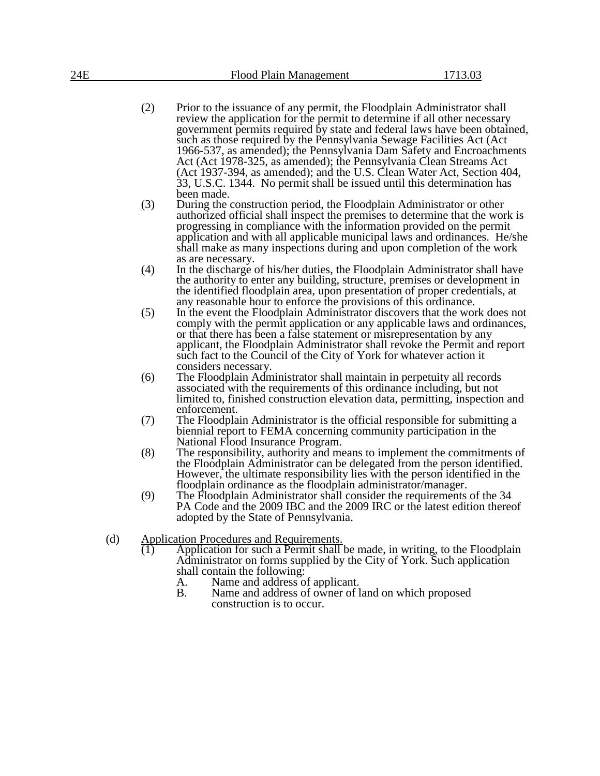- (2) Prior to the issuance of any permit, the Floodplain Administrator shall review the application for the permit to determine if all other necessary government permits required by state and federal laws have been obtained, such as those required by the Pennsylvania Sewage Facilities Act (Act 1966-537, as amended); the Pennsylvania Dam Safety and Encroachments Act (Act 1978-325, as amended); the Pennsylvania Clean Streams Act (Act 1937-394, as amended); and the U.S. Clean Water Act, Section 404, 33, U.S.C. 1344. No permit shall be issued until this determination has been made.
- (3) During the construction period, the Floodplain Administrator or other authorized official shall inspect the premises to determine that the work is progressing in compliance with the information provided on the permit application and with all applicable municipal laws and ordinances. He/she shall make as many inspections during and upon completion of the work as are necessary.
- (4) In the discharge of his/her duties, the Floodplain Administrator shall have the authority to enter any building, structure, premises or development in the identified floodplain area, upon presentation of proper credentials, at any reasonable hour to enforce the provisions of this ordinance.
- (5) In the event the Floodplain Administrator discovers that the work does not comply with the permit application or any applicable laws and ordinances, or that there has been a false statement or misrepresentation by any applicant, the Floodplain Administrator shall revoke the Permit and report such fact to the Council of the City of York for whatever action it considers necessary.
- (6) The Floodplain Administrator shall maintain in perpetuity all records associated with the requirements of this ordinance including, but not limited to, finished construction elevation data, permitting, inspection and enforcement.
- (7) The Floodplain Administrator is the official responsible for submitting a biennial report to FEMA concerning community participation in the National Flood Insurance Program.
- (8) The responsibility, authority and means to implement the commitments of the Floodplain Administrator can be delegated from the person identified. However, the ultimate responsibility lies with the person identified in the floodplain ordinance as the floodplain administrator/manager.
- (9) The Floodplain Administrator shall consider the requirements of the 34 PA Code and the 2009 IBC and the 2009 IRC or the latest edition thereof adopted by the State of Pennsylvania.
- (d) Application Procedures and Requirements.
	- Application for such a Permit shall be made, in writing, to the Floodplain Administrator on forms supplied by the City of York. Such application shall contain the following:
		- A. Name and address of applicant.<br>B. Name and address of owner of l
		- Name and address of owner of land on which proposed construction is to occur.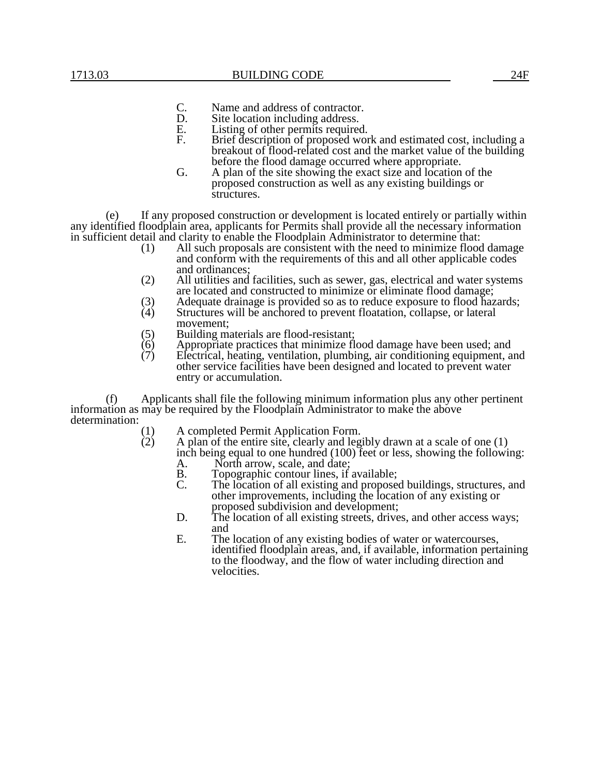- C. Name and address of contractor.<br>D. Site location including address.
- D. Site location including address.<br>E. Listing of other permits required
- E. Listing of other permits required.<br>F. Brief description of proposed wor
- F. Brief description of proposed work and estimated cost, including a breakout of flood-related cost and the market value of the building before the flood damage occurred where appropriate.
- G. A plan of the site showing the exact size and location of the proposed construction as well as any existing buildings or structures.

(e) If any proposed construction or development is located entirely or partially within any identified floodplain area, applicants for Permits shall provide all the necessary information in sufficient detail and clarity to enable the Floodplain Administrator to determine that:

- (1) All such proposals are consistent with the need to minimize flood damage and conform with the requirements of this and all other applicable codes and ordinances;
- (2) All utilities and facilities, such as sewer, gas, electrical and water systems are located and constructed to minimize or eliminate flood damage;
- (3) Adequate drainage is provided so as to reduce exposure to flood hazards;<br>(4) Structures will be anchored to prevent floatation, collapse, or lateral
- Structures will be anchored to prevent floatation, collapse, or lateral movement;
- (5) Building materials are flood-resistant;<br>(6) Appropriate practices that minimize fl
- $(6)$  Appropriate practices that minimize flood damage have been used; and  $(7)$  Electrical, heating, ventilation, plumbing, air conditioning equipment, a
- Electrical, heating, ventilation, plumbing, air conditioning equipment, and other service facilities have been designed and located to prevent water entry or accumulation.

(f) Applicants shall file the following minimum information plus any other pertinent information as may be required by the Floodplain Administrator to make the above determination:  $\begin{pmatrix} 1 \\ 2 \end{pmatrix}$ 

- (1) A completed Permit Application Form.
- A plan of the entire site, clearly and legibly drawn at a scale of one  $(1)$ inch being equal to one hundred (100) feet or less, showing the following:
	- A. North arrow, scale, and date;<br>B. Topographic contour lines if
	- B. Topographic contour lines, if available;<br>C. The location of all existing and propose
	- The location of all existing and proposed buildings, structures, and other improvements, including the location of any existing or proposed subdivision and development;
	- D. The location of all existing streets, drives, and other access ways; and
	- E. The location of any existing bodies of water or watercourses, identified floodplain areas, and, if available, information pertaining to the floodway, and the flow of water including direction and velocities.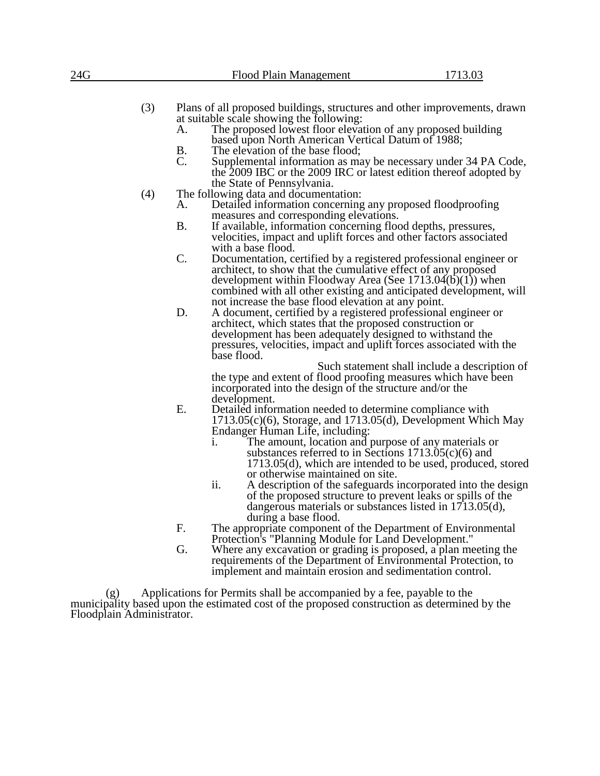| 24G |     |                       | Flood Plain Management                                                                                                                                                                                                                                                                                                                                                                                                | 1713.03                                       |
|-----|-----|-----------------------|-----------------------------------------------------------------------------------------------------------------------------------------------------------------------------------------------------------------------------------------------------------------------------------------------------------------------------------------------------------------------------------------------------------------------|-----------------------------------------------|
|     | (3) | А.<br><b>B.</b><br>C. | Plans of all proposed buildings, structures and other improvements, drawn<br>at suitable scale showing the following:<br>The proposed lowest floor elevation of any proposed building<br>based upon North American Vertical Datum of 1988;<br>The elevation of the base flood;<br>Supplemental information as may be necessary under 34 PA Code,<br>the 2009 IBC or the 2009 IRC or latest edition thereof adopted by |                                               |
|     | (4) | A.                    | the State of Pennsylvania.<br>The following data and documentation:<br>Detailed information concerning any proposed floodproofing<br>measures and corresponding elevations.                                                                                                                                                                                                                                           |                                               |
|     |     | <b>B.</b>             | If available, information concerning flood depths, pressures,<br>velocities, impact and uplift forces and other factors associated<br>with a base flood.                                                                                                                                                                                                                                                              |                                               |
|     |     | C.                    | Documentation, certified by a registered professional engineer or<br>architect, to show that the cumulative effect of any proposed<br>development within Floodway Area (See $1713.04(b)(1)$ ) when<br>combined with all other existing and anticipated development, will<br>not increase the base flood elevation at any point.                                                                                       |                                               |
|     |     | D.                    | A document, certified by a registered professional engineer or<br>architect, which states that the proposed construction or<br>development has been adequately designed to withstand the<br>pressures, velocities, impact and uplift forces associated with the<br>base flood.                                                                                                                                        |                                               |
|     |     |                       | the type and extent of flood proofing measures which have been<br>incorporated into the design of the structure and/or the                                                                                                                                                                                                                                                                                            | Such statement shall include a description of |
|     |     | E.                    | development.<br>Detailed information needed to determine compliance with<br>$1713.05(c)(6)$ , Storage, and $1713.05(d)$ , Development Which May<br>Endanger Human Life, including:<br>i.<br>The amount, location and purpose of any materials or<br>substances referred to in Sections $1713.05(c)(6)$ and<br>1713.05(d), which are intended to be used, produced, stored<br>or otherwise maintained on site.         |                                               |
|     |     |                       | ii.<br>A description of the safeguards incorporated into the design<br>of the proposed structure to prevent leaks or spills of the<br>dangerous materials or substances listed in $1713.05(d)$ ,<br>during a base flood.                                                                                                                                                                                              |                                               |
|     |     | F.                    | The appropriate component of the Department of Environmental<br>Protection's "Planning Module for Land Development."                                                                                                                                                                                                                                                                                                  |                                               |
|     |     | G.                    | Where any excavation or grading is proposed, a plan meeting the<br>requirements of the Department of Environmental Protection, to                                                                                                                                                                                                                                                                                     |                                               |

(g) Applications for Permits shall be accompanied by a fee, payable to the municipality based upon the estimated cost of the proposed construction as determined by the Floodplain Administrator.

implement and maintain erosion and sedimentation control.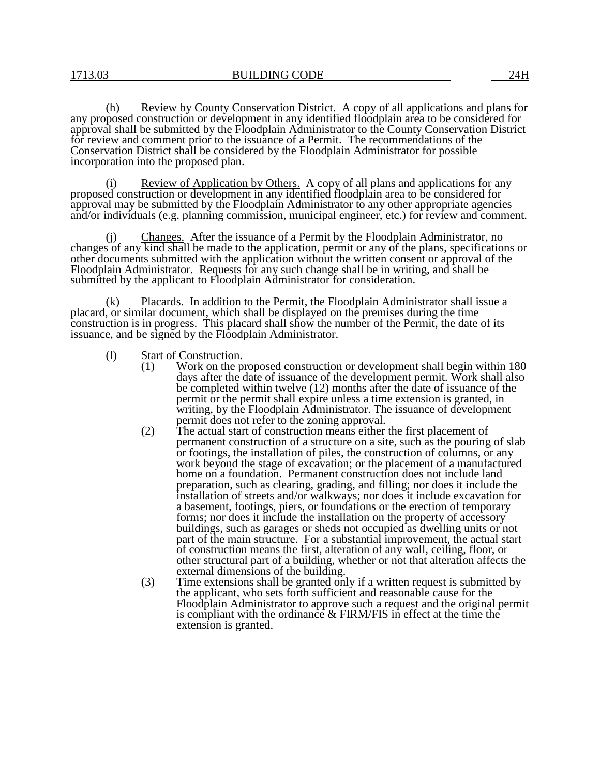(h) Review by County Conservation District. A copy of all applications and plans for any proposed construction or development in any identified floodplain area to be considered for approval shall be submitted by the Floodplain Administrator to the County Conservation District for review and comment prior to the issuance of a Permit. The recommendations of the Conservation District shall be considered by the Floodplain Administrator for possible incorporation into the proposed plan.

Review of Application by Others. A copy of all plans and applications for any proposed construction or development in any identified floodplain area to be considered for approval may be submitted by the Floodplain Administrator to any other appropriate agencies and/or individuals (e.g. planning commission, municipal engineer, etc.) for review and comment.

(j) Changes. After the issuance of a Permit by the Floodplain Administrator, no changes of any kind shall be made to the application, permit or any of the plans, specifications or other documents submitted with the application without the written consent or approval of the Floodplain Administrator. Requests for any such change shall be in writing, and shall be submitted by the applicant to Floodplain Administrator for consideration.

(k) Placards. In addition to the Permit, the Floodplain Administrator shall issue a placard, or similar document, which shall be displayed on the premises during the time construction is in progress. This placard shall show the number of the Permit, the date of its issuance, and be signed by the Floodplain Administrator.

- (1) Start of Construction.<br>(1) Work on the p
	- Work on the proposed construction or development shall begin within 180 days after the date of issuance of the development permit. Work shall also be completed within twelve (12) months after the date of issuance of the permit or the permit shall expire unless a time extension is granted, in writing, by the Floodplain Administrator. The issuance of development permit does not refer to the zoning approval.
	- (2) The actual start of construction means either the first placement of permanent construction of a structure on a site, such as the pouring of slab or footings, the installation of piles, the construction of columns, or any work beyond the stage of excavation; or the placement of a manufactured home on a foundation. Permanent construction does not include land preparation, such as clearing, grading, and filling; nor does it include the installation of streets and/or walkways; nor does it include excavation for a basement, footings, piers, or foundations or the erection of temporary forms; nor does it include the installation on the property of accessory buildings, such as garages or sheds not occupied as dwelling units or not part of the main structure. For a substantial improvement, the actual start of construction means the first, alteration of any wall, ceiling, floor, or other structural part of a building, whether or not that alteration affects the external dimensions of the building.
	- (3) Time extensions shall be granted only if a written request is submitted by the applicant, who sets forth sufficient and reasonable cause for the Floodplain Administrator to approve such a request and the original permit is compliant with the ordinance & FIRM/FIS in effect at the time the extension is granted.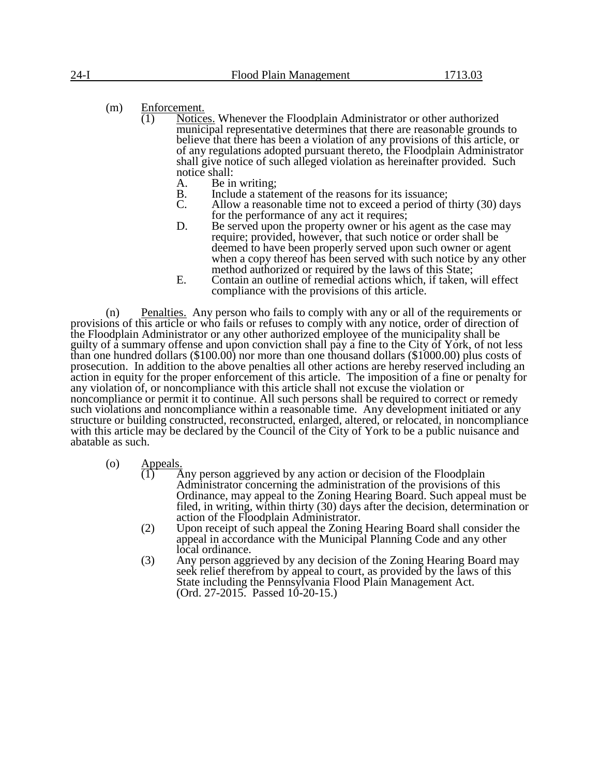- (m)  $\frac{\text{Enforcement.}}{(1)}$  Notice
	- Notices. Whenever the Floodplain Administrator or other authorized municipal representative determines that there are reasonable grounds to believe that there has been a violation of any provisions of this article, or of any regulations adopted pursuant thereto, the Floodplain Administrator shall give notice of such alleged violation as hereinafter provided. Such notice shall:
		- A. Be in writing;<br>B. Include a state
		- B. Include a statement of the reasons for its issuance;<br>C. Allow a reasonable time not to exceed a period of
		- Allow a reasonable time not to exceed a period of thirty (30) days for the performance of any act it requires;
		- D. Be served upon the property owner or his agent as the case may require; provided, however, that such notice or order shall be deemed to have been properly served upon such owner or agent when a copy thereof has been served with such notice by any other method authorized or required by the laws of this State;
		- E. Contain an outline of remedial actions which, if taken, will effect compliance with the provisions of this article.

(n) Penalties. Any person who fails to comply with any or all of the requirements or provisions of this article or who fails or refuses to comply with any notice, order of direction of the Floodplain Administrator or any other authorized employee of the municipality shall be guilty of a summary offense and upon conviction shall pay a fine to the City of York, of not less than one hundred dollars (\$100.00) nor more than one thousand dollars (\$1000.00) plus costs of prosecution. In addition to the above penalties all other actions are hereby reserved including an action in equity for the proper enforcement of this article. The imposition of a fine or penalty for any violation of, or noncompliance with this article shall not excuse the violation or noncompliance or permit it to continue. All such persons shall be required to correct or remedy such violations and noncompliance within a reasonable time. Any development initiated or any structure or building constructed, reconstructed, enlarged, altered, or relocated, in noncompliance with this article may be declared by the Council of the City of York to be a public nuisance and abatable as such.

- (o)  $\frac{\text{Appeals}}{(1)}$ 
	- $\overline{A}$ ny person aggrieved by any action or decision of the Floodplain Administrator concerning the administration of the provisions of this Ordinance, may appeal to the Zoning Hearing Board. Such appeal must be filed, in writing, within thirty (30) days after the decision, determination or action of the Floodplain Administrator.
	- (2) Upon receipt of such appeal the Zoning Hearing Board shall consider the appeal in accordance with the Municipal Planning Code and any other local ordinance.
	- (3) Any person aggrieved by any decision of the Zoning Hearing Board may seek relief therefrom by appeal to court, as provided by the laws of this State including the Pennsylvania Flood Plain Management Act. (Ord. 27-2015. Passed 10-20-15.)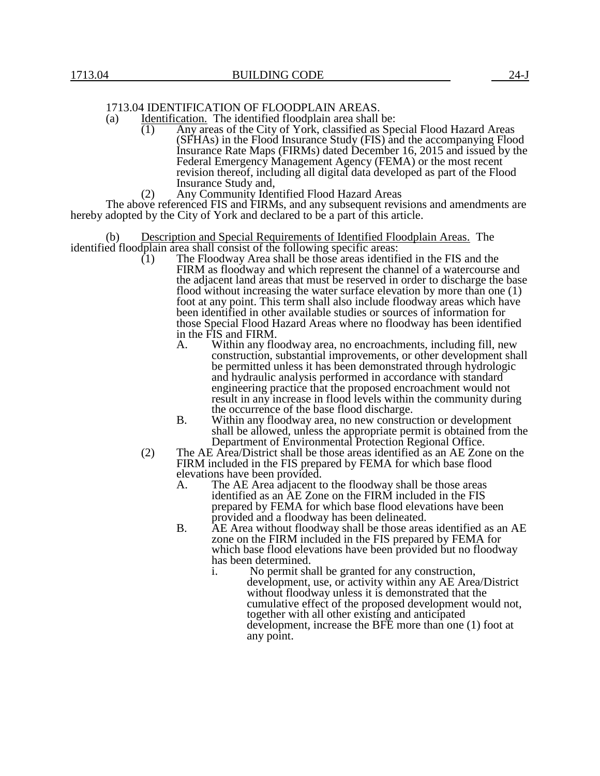# 1713.04 IDENTIFICATION OF FLOODPLAIN AREAS.

- (a) Identification. The identified floodplain area shall be:<br>(1) Any areas of the City of York, classified as Sp.
	- Any areas of the City of York, classified as Special Flood Hazard Areas (SFHAs) in the Flood Insurance Study (FIS) and the accompanying Flood Insurance Rate Maps (FIRMs) dated December 16, 2015 and issued by the Federal Emergency Management Agency (FEMA) or the most recent revision thereof, including all digital data developed as part of the Flood Insurance Study and,
	- (2) Any Community Identified Flood Hazard Areas

The above referenced FIS and FIRMs, and any subsequent revisions and amendments are hereby adopted by the City of York and declared to be a part of this article.

Description and Special Requirements of Identified Floodplain Areas. The identified floodplain area shall consist of the following specific areas:<br>(1) The Floodway Area shall be those areas identifi

- The Floodway Area shall be those areas identified in the FIS and the FIRM as floodway and which represent the channel of a watercourse and the adjacent land areas that must be reserved in order to discharge the base flood without increasing the water surface elevation by more than one (1) foot at any point. This term shall also include floodway areas which have been identified in other available studies or sources of information for those Special Flood Hazard Areas where no floodway has been identified in the FIS and FIRM.<br>A. Within any flo
	- Within any floodway area, no encroachments, including fill, new construction, substantial improvements, or other development shall be permitted unless it has been demonstrated through hydrologic and hydraulic analysis performed in accordance with standard engineering practice that the proposed encroachment would not result in any increase in flood levels within the community during the occurrence of the base flood discharge.
	- B. Within any floodway area, no new construction or development shall be allowed, unless the appropriate permit is obtained from the Department of Environmental Protection Regional Office.
- (2) The AE Area/District shall be those areas identified as an AE Zone on the FIRM included in the FIS prepared by FEMA for which base flood elevations have been provided.<br>A. The AE Area adjacent to
	- The AE Area adjacent to the floodway shall be those areas identified as an AE Zone on the FIRM included in the FIS prepared by FEMA for which base flood elevations have been provided and a floodway has been delineated.
	- B. AE Area without floodway shall be those areas identified as an AE zone on the FIRM included in the FIS prepared by FEMA for which base flood elevations have been provided but no floodway has been determined.
		- i. No permit shall be granted for any construction, development, use, or activity within any AE Area/District without floodway unless it is demonstrated that the cumulative effect of the proposed development would not, together with all other existing and anticipated development, increase the BFE more than one (1) foot at any point.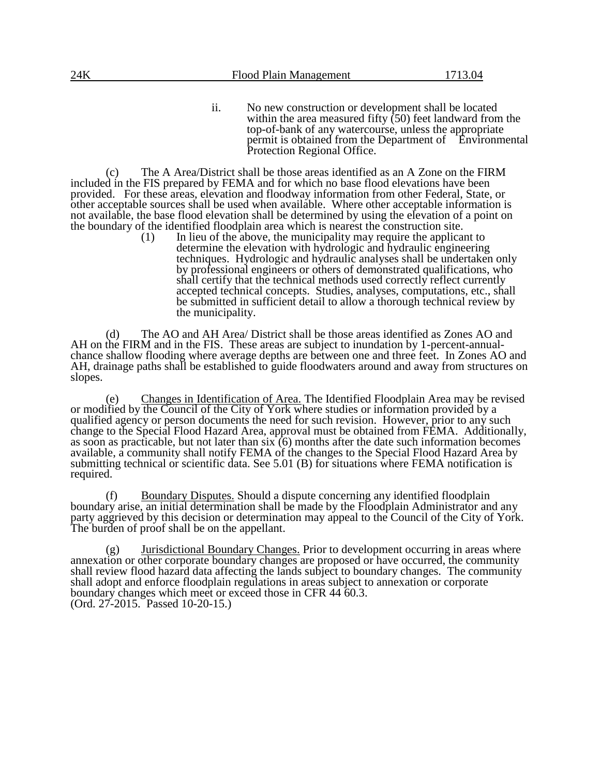ii. No new construction or development shall be located within the area measured fifty  $(50)$  feet landward from the top-of-bank of any watercourse, unless the appropriate permit is obtained from the Department of Environmental Protection Regional Office.

(c) The A Area/District shall be those areas identified as an A Zone on the FIRM included in the FIS prepared by FEMA and for which no base flood elevations have been provided. For these areas, elevation and floodway information from other Federal, State, or other acceptable sources shall be used when available. Where other acceptable information is not available, the base flood elevation shall be determined by using the elevation of a point on the boundary of the identified floodplain area which is nearest the construction site.<br>(1) In lieu of the above, the municipality may require the applical

In lieu of the above, the municipality may require the applicant to determine the elevation with hydrologic and hydraulic engineering techniques. Hydrologic and hydraulic analyses shall be undertaken only by professional engineers or others of demonstrated qualifications, who shall certify that the technical methods used correctly reflect currently accepted technical concepts. Studies, analyses, computations, etc., shall be submitted in sufficient detail to allow a thorough technical review by the municipality.

(d) The AO and AH Area/ District shall be those areas identified as Zones AO and AH on the FIRM and in the FIS. These areas are subject to inundation by 1-percent-annualchance shallow flooding where average depths are between one and three feet. In Zones AO and AH, drainage paths shall be established to guide floodwaters around and away from structures on slopes.

(e) Changes in Identification of Area. The Identified Floodplain Area may be revised or modified by the Council of the City of York where studies or information provided by a qualified agency or person documents the need for such revision. However, prior to any such change to the Special Flood Hazard Area, approval must be obtained from FEMA. Additionally, as soon as practicable, but not later than  $six(6)$  months after the date such information becomes available, a community shall notify FEMA of the changes to the Special Flood Hazard Area by submitting technical or scientific data. See 5.01 (B) for situations where FEMA notification is required.

(f) Boundary Disputes. Should a dispute concerning any identified floodplain boundary arise, an initial determination shall be made by the Floodplain Administrator and any party aggrieved by this decision or determination may appeal to the Council of the City of York. The burden of proof shall be on the appellant.

(g) Jurisdictional Boundary Changes. Prior to development occurring in areas where annexation or other corporate boundary changes are proposed or have occurred, the community shall review flood hazard data affecting the lands subject to boundary changes. The community shall adopt and enforce floodplain regulations in areas subject to annexation or corporate boundary changes which meet or exceed those in CFR 44 60.3. (Ord. 27-2015. Passed 10-20-15.)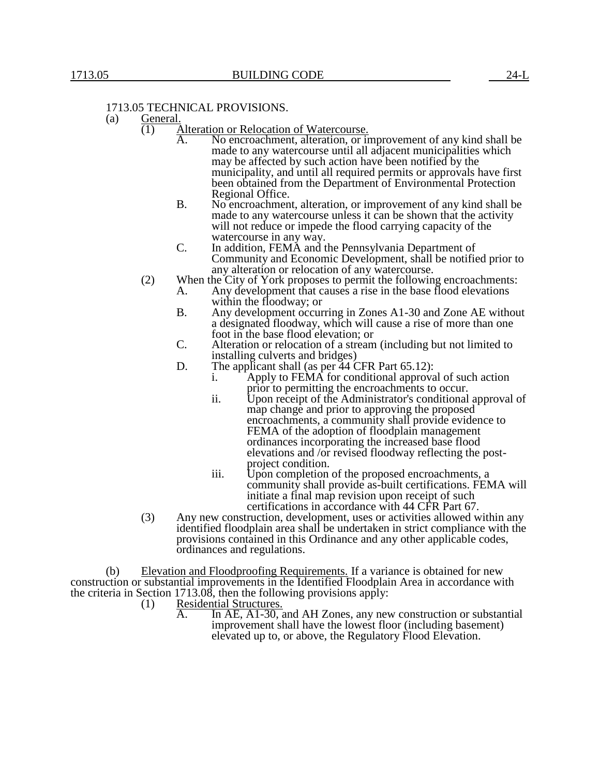## 1713.05 TECHNICAL PROVISIONS.

- (a) General.
	- (1) Alteration or Relocation of Watercourse.
		- A. No encroachment, alteration, or improvement of any kind shall be made to any watercourse until all adjacent municipalities which may be affected by such action have been notified by the municipality, and until all required permits or approvals have first been obtained from the Department of Environmental Protection Regional Office.
		- B. No encroachment, alteration, or improvement of any kind shall be made to any watercourse unless it can be shown that the activity will not reduce or impede the flood carrying capacity of the watercourse in any way.
		- C. In addition, FEMA and the Pennsylvania Department of Community and Economic Development, shall be notified prior to any alteration or relocation of any watercourse.
	- (2) When the City of York proposes to permit the following encroachments:
		- A. Any development that causes a rise in the base flood elevations within the floodway; or
		- B. Any development occurring in Zones A1-30 and Zone AE without a designated floodway, which will cause a rise of more than one foot in the base flood elevation; or
		- C. Alteration or relocation of a stream (including but not limited to installing culverts and bridges)
		- D. The applicant shall (as per 44 CFR Part 65.12):<br>i. Apply to FEMA for conditional approva
			- Apply to FEMA for conditional approval of such action prior to permitting the encroachments to occur.
			- ii. Upon receipt of the Administrator's conditional approval of map change and prior to approving the proposed encroachments, a community shall provide evidence to FEMA of the adoption of floodplain management ordinances incorporating the increased base flood elevations and /or revised floodway reflecting the postproject condition.
			- iii. Upon completion of the proposed encroachments, a community shall provide as-built certifications. FEMA will initiate a final map revision upon receipt of such certifications in accordance with 44 CFR Part 67.
	- (3) Any new construction, development, uses or activities allowed within any identified floodplain area shall be undertaken in strict compliance with the provisions contained in this Ordinance and any other applicable codes, ordinances and regulations.

(b) Elevation and Floodproofing Requirements. If a variance is obtained for new construction or substantial improvements in the Identified Floodplain Area in accordance with the criteria in Section 1713.08, then the following provisions apply:

- (1) Residential Structures.
	- A. In AE, A1-30, and AH Zones, any new construction or substantial improvement shall have the lowest floor (including basement) elevated up to, or above, the Regulatory Flood Elevation.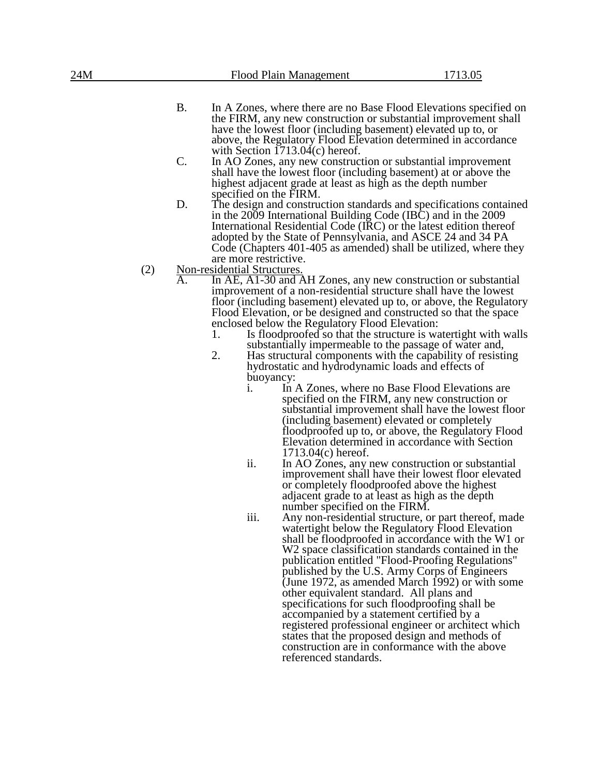| 24M |     |                  |                                                      | Flood Plain Management                                                                                           | 1713.05                                                                                                                                                                                                                                                                                                                                                                                                                                                                                                                                                                                                                                |
|-----|-----|------------------|------------------------------------------------------|------------------------------------------------------------------------------------------------------------------|----------------------------------------------------------------------------------------------------------------------------------------------------------------------------------------------------------------------------------------------------------------------------------------------------------------------------------------------------------------------------------------------------------------------------------------------------------------------------------------------------------------------------------------------------------------------------------------------------------------------------------------|
|     |     | <b>B.</b>        |                                                      |                                                                                                                  | In A Zones, where there are no Base Flood Elevations specified on<br>the FIRM, any new construction or substantial improvement shall<br>have the lowest floor (including basement) elevated up to, or<br>above, the Regulatory Flood Elevation determined in accordance                                                                                                                                                                                                                                                                                                                                                                |
|     |     | C.               |                                                      | with Section $1713.04(c)$ hereof.                                                                                | In AO Zones, any new construction or substantial improvement<br>shall have the lowest floor (including basement) at or above the<br>highest adjacent grade at least as high as the depth number                                                                                                                                                                                                                                                                                                                                                                                                                                        |
|     |     | D.               | specified on the FIRM.                               |                                                                                                                  | The design and construction standards and specifications contained<br>in the 2009 International Building Code (IBC) and in the 2009<br>International Residential Code (IRC) or the latest edition thereof<br>adopted by the State of Pennsylvania, and ASCE 24 and 34 PA<br>Code (Chapters 401-405 as amended) shall be utilized, where they                                                                                                                                                                                                                                                                                           |
|     | (2) |                  | are more restrictive.<br>Non-residential Structures. |                                                                                                                  |                                                                                                                                                                                                                                                                                                                                                                                                                                                                                                                                                                                                                                        |
|     |     | $\overline{A}$ . | 1.<br>2.<br>1.                                       | enclosed below the Regulatory Flood Elevation:<br>hydrostatic and hydrodynamic loads and effects of<br>buoyancy: | In AE, A1-30 and AH Zones, any new construction or substantial<br>improvement of a non-residential structure shall have the lowest<br>floor (including basement) elevated up to, or above, the Regulatory<br>Flood Elevation, or be designed and constructed so that the space<br>Is flood proofed so that the structure is water tight with walls<br>substantially impermeable to the passage of water and,<br>Has structural components with the capability of resisting<br>In A Zones, where no Base Flood Elevations are<br>specified on the FIRM, any new construction or<br>substantial improvement shall have the lowest floor  |
|     |     |                  |                                                      | $1713.04(c)$ hereof.                                                                                             | (including basement) elevated or completely<br>floodproofed up to, or above, the Regulatory Flood<br>Elevation determined in accordance with Section                                                                                                                                                                                                                                                                                                                                                                                                                                                                                   |
|     |     |                  | ii.                                                  | number specified on the FIRM.                                                                                    | In AO Zones, any new construction or substantial<br>improvement shall have their lowest floor elevated<br>or completely floodproofed above the highest<br>adjacent grade to at least as high as the depth                                                                                                                                                                                                                                                                                                                                                                                                                              |
|     |     |                  | iii.                                                 | other equivalent standard. All plans and                                                                         | Any non-residential structure, or part thereof, made<br>watertight below the Regulatory Flood Elevation<br>shall be floodproofed in accordance with the W1 or<br>W2 space classification standards contained in the<br>publication entitled "Flood-Proofing Regulations"<br>published by the U.S. Army Corps of Engineers<br>(June 1972, as amended March 1992) or with some<br>specifications for such floodproofing shall be<br>accompanied by a statement certified by a<br>registered professional engineer or architect which<br>states that the proposed design and methods of<br>construction are in conformance with the above |

referenced standards.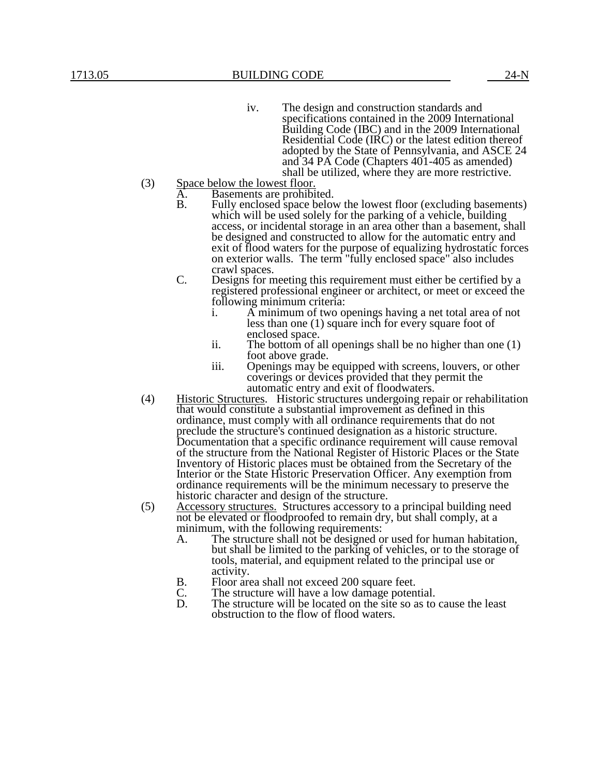- iv. The design and construction standards and specifications contained in the 2009 International Building Code (IBC) and in the 2009 International Residential Code (IRC) or the latest edition thereof adopted by the State of Pennsylvania, and ASCE 24 and 34 PA Code (Chapters 401-405 as amended) shall be utilized, where they are more restrictive.
- (3) Space below the lowest floor.
	- A. Basements are prohibited.<br>B. Fully enclosed space belove
		- Fully enclosed space below the lowest floor (excluding basements) which will be used solely for the parking of a vehicle, building access, or incidental storage in an area other than a basement, shall be designed and constructed to allow for the automatic entry and exit of flood waters for the purpose of equalizing hydrostatic forces on exterior walls. The term "fully enclosed space" also includes crawl spaces.
	- C. Designs for meeting this requirement must either be certified by a registered professional engineer or architect, or meet or exceed the following minimum criteria:
		- i. A minimum of two openings having a net total area of not less than one (1) square inch for every square foot of enclosed space.
		- ii. The bottom of all openings shall be no higher than one (1) foot above grade.
		- iii. Openings may be equipped with screens, louvers, or other coverings or devices provided that they permit the automatic entry and exit of floodwaters.
- (4) Historic Structures. Historic structures undergoing repair or rehabilitation that would constitute a substantial improvement as defined in this ordinance, must comply with all ordinance requirements that do not preclude the structure's continued designation as a historic structure. Documentation that a specific ordinance requirement will cause removal of the structure from the National Register of Historic Places or the State Inventory of Historic places must be obtained from the Secretary of the Interior or the State Historic Preservation Officer. Any exemption from ordinance requirements will be the minimum necessary to preserve the historic character and design of the structure.
- (5) Accessory structures. Structures accessory to a principal building need not be elevated or floodproofed to remain dry, but shall comply, at a minimum, with the following requirements:
	- A. The structure shall not be designed or used for human habitation, but shall be limited to the parking of vehicles, or to the storage of tools, material, and equipment related to the principal use or activity.
	- B. Floor area shall not exceed 200 square feet.<br>C. The structure will have a low damage poten
	- C. The structure will have a low damage potential.<br>D. The structure will be located on the site so as to
	- The structure will be located on the site so as to cause the least obstruction to the flow of flood waters.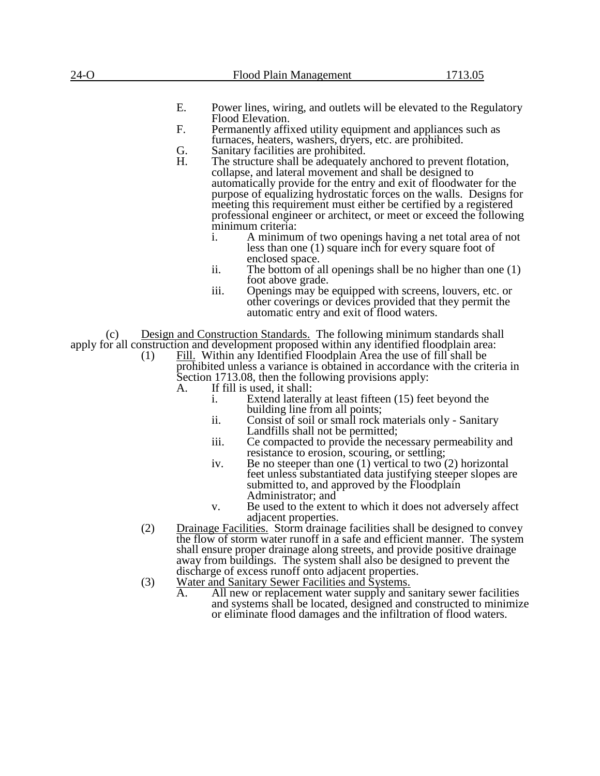| $24-O$                                                                                                                                             |      | Flood Plain Management                                                                                                                                                                                                                                                                                                                                                                                                                   | 1713.05 |  |  |
|----------------------------------------------------------------------------------------------------------------------------------------------------|------|------------------------------------------------------------------------------------------------------------------------------------------------------------------------------------------------------------------------------------------------------------------------------------------------------------------------------------------------------------------------------------------------------------------------------------------|---------|--|--|
|                                                                                                                                                    |      |                                                                                                                                                                                                                                                                                                                                                                                                                                          |         |  |  |
|                                                                                                                                                    | Ε.   | Power lines, wiring, and outlets will be elevated to the Regulatory                                                                                                                                                                                                                                                                                                                                                                      |         |  |  |
| Flood Elevation.<br>F.<br>Permanently affixed utility equipment and appliances such as<br>furnaces, heaters, washers, dryers, etc. are prohibited. |      |                                                                                                                                                                                                                                                                                                                                                                                                                                          |         |  |  |
|                                                                                                                                                    | G.   | Sanitary facilities are prohibited.                                                                                                                                                                                                                                                                                                                                                                                                      |         |  |  |
|                                                                                                                                                    | H.   | The structure shall be adequately anchored to prevent flotation,<br>collapse, and lateral movement and shall be designed to<br>automatically provide for the entry and exit of floodwater for the<br>purpose of equalizing hydrostatic forces on the walls. Designs for<br>meeting this requirement must either be certified by a registered<br>professional engineer or architect, or meet or exceed the following<br>minimum criteria: |         |  |  |
|                                                                                                                                                    | i.   | A minimum of two openings having a net total area of not<br>less than one (1) square inch for every square foot of                                                                                                                                                                                                                                                                                                                       |         |  |  |
|                                                                                                                                                    | ii.  | enclosed space.<br>The bottom of all openings shall be no higher than one $(1)$<br>foot above grade.                                                                                                                                                                                                                                                                                                                                     |         |  |  |
|                                                                                                                                                    | iii. | Openings may be equipped with screens, louvers, etc. or<br>other coverings or devices provided that they permit the<br>automatic entry and exit of flood waters.                                                                                                                                                                                                                                                                         |         |  |  |
| (c)                                                                                                                                                |      | Design and Construction Standards. The following minimum standards shall                                                                                                                                                                                                                                                                                                                                                                 |         |  |  |
|                                                                                                                                                    |      | apply for all construction and development proposed within any identified floodplain area:                                                                                                                                                                                                                                                                                                                                               |         |  |  |
| (1)                                                                                                                                                |      | Fill. Within any Identified Floodplain Area the use of fill shall be<br>prohibited unless a variance is obtained in accordance with the criteria in<br>Section 1713.08, then the following provisions apply:                                                                                                                                                                                                                             |         |  |  |
|                                                                                                                                                    | A.   | If fill is used, it shall:                                                                                                                                                                                                                                                                                                                                                                                                               |         |  |  |
|                                                                                                                                                    | i.   | Extend laterally at least fifteen (15) feet beyond the<br>building line from all points;                                                                                                                                                                                                                                                                                                                                                 |         |  |  |
|                                                                                                                                                    | ii.  | Consist of soil or small rock materials only - Sanitary<br>Landfills shall not be permitted;                                                                                                                                                                                                                                                                                                                                             |         |  |  |
|                                                                                                                                                    | iii. | Ce compacted to provide the necessary permeability and<br>resistance to erosion, scouring, or settling;                                                                                                                                                                                                                                                                                                                                  |         |  |  |
|                                                                                                                                                    | iv.  | Be no steeper than one $(1)$ vertical to two $(2)$ horizontal<br>feet unless substantiated data justifying steeper slopes are<br>submitted to, and approved by the Floodplain<br>Administrator; and                                                                                                                                                                                                                                      |         |  |  |
|                                                                                                                                                    | v.   | Be used to the extent to which it does not adversely affect<br>adjacent properties.                                                                                                                                                                                                                                                                                                                                                      |         |  |  |
| (2)                                                                                                                                                |      | <b>Drainage Facilities.</b> Storm drainage facilities shall be designed to convey<br>the flow of storm water runoff in a safe and efficient manner. The system<br>shall ensure proper drainage along streets, and provide positive drainage                                                                                                                                                                                              |         |  |  |
|                                                                                                                                                    |      | away from buildings. The system shall also be designed to prevent the                                                                                                                                                                                                                                                                                                                                                                    |         |  |  |
|                                                                                                                                                    |      | discharge of excess runoff onto adjacent properties.                                                                                                                                                                                                                                                                                                                                                                                     |         |  |  |
| (3)                                                                                                                                                |      | Water and Sanitary Sewer Facilities and Systems.                                                                                                                                                                                                                                                                                                                                                                                         |         |  |  |
|                                                                                                                                                    | A.   | All new or replacement water supply and sanitary sewer facilities                                                                                                                                                                                                                                                                                                                                                                        |         |  |  |
|                                                                                                                                                    |      | and systems shall be located, designed and constructed to minimize<br>or eliminate flood damages and the infiltration of flood waters.                                                                                                                                                                                                                                                                                                   |         |  |  |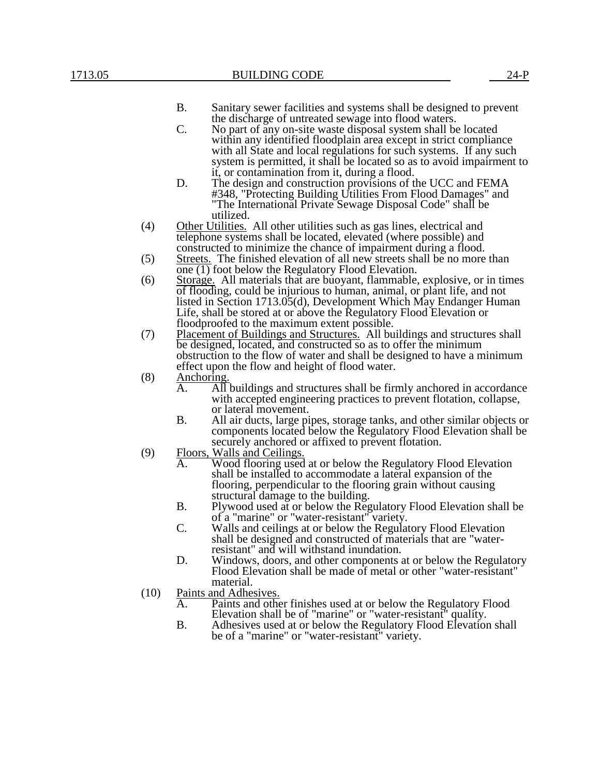#### B. Sanitary sewer facilities and systems shall be designed to prevent the discharge of untreated sewage into flood waters.

- C. No part of any on-site waste disposal system shall be located within any identified floodplain area except in strict compliance with all State and local regulations for such systems. If any such system is permitted, it shall be located so as to avoid impairment to it, or contamination from it, during a flood.
- D. The design and construction provisions of the UCC and FEMA #348, "Protecting Building Utilities From Flood Damages" and "The International Private Sewage Disposal Code" shall be utilized.
- (4) Other Utilities. All other utilities such as gas lines, electrical and telephone systems shall be located, elevated (where possible) and constructed to minimize the chance of impairment during a flood.
- (5) Streets. The finished elevation of all new streets shall be no more than  $\overline{one(1)}$  foot below the Regulatory Flood Elevation.
- (6) Storage. All materials that are buoyant, flammable, explosive, or in times of flooding, could be injurious to human, animal, or plant life, and not listed in Section 1713.05(d), Development Which May Endanger Human Life, shall be stored at or above the Regulatory Flood Elevation or floodproofed to the maximum extent possible.
- (7) Placement of Buildings and Structures. All buildings and structures shall be designed, located, and constructed so as to offer the minimum obstruction to the flow of water and shall be designed to have a minimum effect upon the flow and height of flood water.
- $(8)$  Anchoring.<br>A. All
	- A. A. I buildings and structures shall be firmly anchored in accordance with accepted engineering practices to prevent flotation, collapse, or lateral movement.
	- B. All air ducts, large pipes, storage tanks, and other similar objects or components located below the Regulatory Flood Elevation shall be securely anchored or affixed to prevent flotation.
- (9) Floors, Walls and Ceilings.<br>A. Wood flooring used
	- Wood flooring used at or below the Regulatory Flood Elevation shall be installed to accommodate a lateral expansion of the flooring, perpendicular to the flooring grain without causing structural damage to the building.
	- B. Plywood used at or below the Regulatory Flood Elevation shall be of a "marine" or "water-resistant" variety.
	- C. Walls and ceilings at or below the Regulatory Flood Elevation shall be designed and constructed of materials that are "waterresistant" and will withstand inundation.
	- D. Windows, doors, and other components at or below the Regulatory Flood Elevation shall be made of metal or other "water-resistant" material.
- (10) Paints and Adhesives.
	- A. Paints and other finishes used at or below the Regulatory Flood Elevation shall be of "marine" or "water-resistant" quality.
	- B. Adhesives used at or below the Regulatory Flood Elevation shall be of a "marine" or "water-resistant" variety.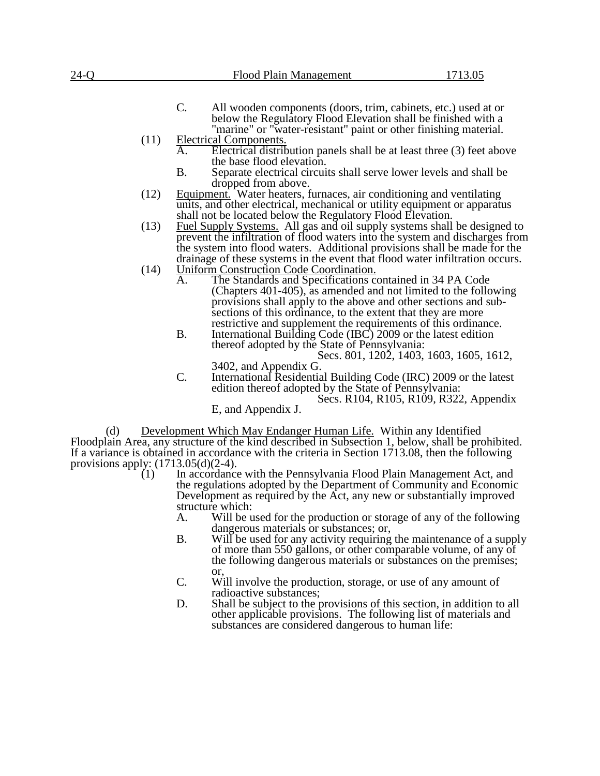| 24-O                                           | Flood Plain Management                                                                                                                                                                                                                       | 1713.05                                  |
|------------------------------------------------|----------------------------------------------------------------------------------------------------------------------------------------------------------------------------------------------------------------------------------------------|------------------------------------------|
|                                                | $\mathcal{C}$ .<br>All wooden components (doors, trim, cabinets, etc.) used at or<br>below the Regulatory Flood Elevation shall be finished with a<br>"marine" or "water-resistant" paint or other finishing material.                       |                                          |
| (11)                                           | <b>Electrical Components.</b><br>A.<br>Electrical distribution panels shall be at least three (3) feet above<br>the base flood elevation.                                                                                                    |                                          |
|                                                | <b>B.</b><br>Separate electrical circuits shall serve lower levels and shall be<br>dropped from above.                                                                                                                                       |                                          |
| (12)                                           | Equipment. Water heaters, furnaces, air conditioning and ventilating<br>units, and other electrical, mechanical or utility equipment or apparatus<br>shall not be located below the Regulatory Flood Elevation.                              |                                          |
| (13)                                           | <b>Fuel Supply Systems.</b> All gas and oil supply systems shall be designed to<br>prevent the infiltration of flood waters into the system and discharges from<br>the system into flood waters. Additional provisions shall be made for the |                                          |
| (14)                                           | drainage of these systems in the event that flood water infiltration occurs.<br>Uniform Construction Code Coordination.<br>The Standards and Specifications contained in 34 PA Code                                                          |                                          |
|                                                | (Chapters 401-405), as amended and not limited to the following<br>provisions shall apply to the above and other sections and sub-<br>sections of this ordinance, to the extent that they are more                                           |                                          |
|                                                | restrictive and supplement the requirements of this ordinance.<br><b>B.</b><br>International Building Code (IBC) 2009 or the latest edition<br>thereof adopted by the State of Pennsylvania:                                                 |                                          |
|                                                | 3402, and Appendix G.<br>C.<br>International Residential Building Code (IRC) 2009 or the latest                                                                                                                                              | Secs. 801, 1202, 1403, 1603, 1605, 1612, |
|                                                | edition thereof adopted by the State of Pennsylvania:<br>E, and Appendix J.                                                                                                                                                                  | Secs. R104, R105, R109, R322, Appendix   |
| (d)                                            | Development Which May Endanger Human Life. Within any Identified                                                                                                                                                                             |                                          |
|                                                | Floodplain Area, any structure of the kind described in Subsection 1, below, shall be prohibited.<br>If a variance is obtained in accordance with the criteria in Section 1713.08, then the following                                        |                                          |
| provisions apply: $(1713.05(d)(2-4))$ .<br>(1) | In accordance with the Pennsylvania Flood Plain Management Act, and                                                                                                                                                                          |                                          |
|                                                | the regulations adopted by the Department of Community and Economic<br>Development as required by the Act, any new or substantially improved                                                                                                 |                                          |
|                                                | structure which:<br>Will be used for the production or storage of any of the following<br>A.                                                                                                                                                 |                                          |
|                                                | dangerous materials or substances; or,<br><b>B.</b><br>Will be used for any activity requiring the maintenance of a supply<br>of more than 550 gallons, or other comparable volume, of any of                                                |                                          |
|                                                | the following dangerous materials or substances on the premises;<br>or,<br>C.<br>Will involve the production, storage, or use of any amount of                                                                                               |                                          |
|                                                | radioactive substances;<br>D.<br>Shall be subject to the provisions of this section, in addition to all                                                                                                                                      |                                          |
|                                                | other applicable provisions. The following list of materials and<br>substances are considered dangerous to human life:                                                                                                                       |                                          |
|                                                |                                                                                                                                                                                                                                              |                                          |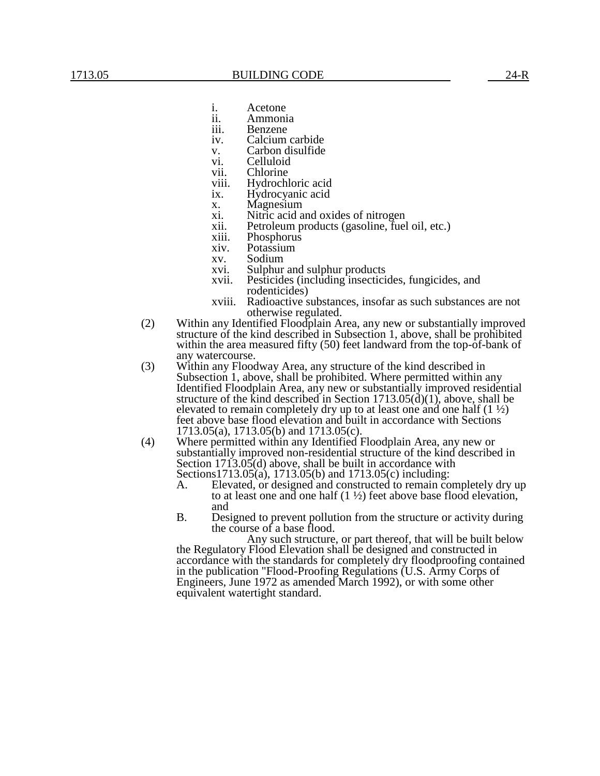- i. Acetone<br>ii. Ammoni
- ii. Ammonia
- iii. Benzene<br>iv. Calcium Calcium carbide
- v. Carbon disulfide
- vi. Celluloid
- vii. Chlorine
- viii. Hydrochloric acid
- ix. Hydrocyanic acid
- x. Magnesium<br>xi. Nitric acid a
- Nitric acid and oxides of nitrogen
- xii. Petroleum products (gasoline, fuel oil, etc.)
- xiii. Phosphorus
- xiv. Potassium
- xv. Sodium
- xvi. Sulphur and sulphur products<br>xvii. Pesticides (including insectici
- Pesticides (including insecticides, fungicides, and rodenticides)
- xviii. Radioactive substances, insofar as such substances are not otherwise regulated.
- (2) Within any Identified Floodplain Area, any new or substantially improved structure of the kind described in Subsection 1, above, shall be prohibited within the area measured fifty (50) feet landward from the top-of-bank of any watercourse.
- (3) Within any Floodway Area, any structure of the kind described in Subsection 1, above, shall be prohibited. Where permitted within any Identified Floodplain Area, any new or substantially improved residential structure of the kind described in Section  $1713.05(d)(1)$ , above, shall be elevated to remain completely dry up to at least one and one half  $(1 \frac{1}{2})$ feet above base flood elevation and built in accordance with Sections 1713.05(a), 1713.05(b) and 1713.05(c).
- (4) Where permitted within any Identified Floodplain Area, any new or substantially improved non-residential structure of the kind described in Section  $1713.05(d)$  above, shall be built in accordance with Sections1713.05(a), 1713.05(b) and 1713.05(c) including:
	- A. Elevated, or designed and constructed to remain completely dry up to at least one and one half  $(1 \frac{1}{2})$  feet above base flood elevation, and
	- B. Designed to prevent pollution from the structure or activity during the course of a base flood.

Any such structure, or part thereof, that will be built below the Regulatory Flood Elevation shall be designed and constructed in accordance with the standards for completely dry floodproofing contained in the publication "Flood-Proofing Regulations (U.S. Army Corps of Engineers, June 1972 as amended March 1992), or with some other equivalent watertight standard.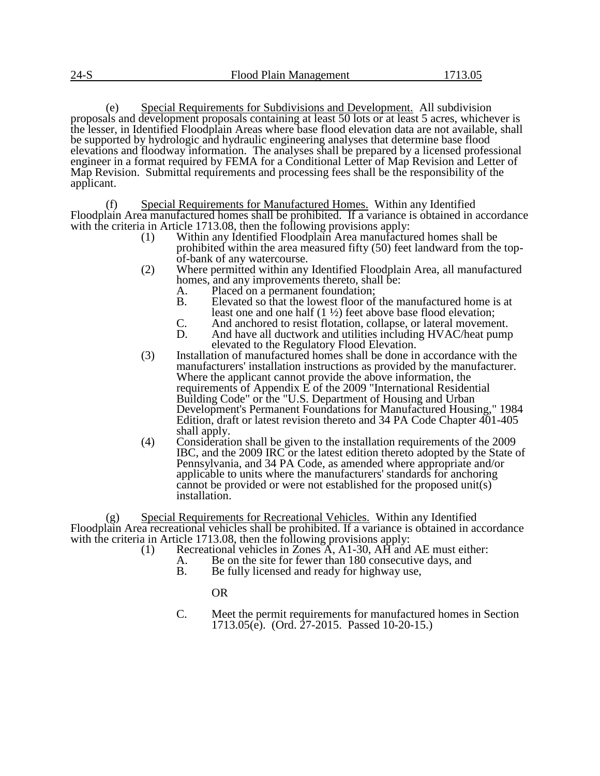(e) Special Requirements for Subdivisions and Development. All subdivision proposals and development proposals containing at least 50 lots or at least 5 acres, whichever is the lesser, in Identified Floodplain Areas where base flood elevation data are not available, shall be supported by hydrologic and hydraulic engineering analyses that determine base flood elevations and floodway information. The analyses shall be prepared by a licensed professional engineer in a format required by FEMA for a Conditional Letter of Map Revision and Letter of Map Revision. Submittal requirements and processing fees shall be the responsibility of the applicant.

(f) Special Requirements for Manufactured Homes. Within any Identified Floodplain Area manufactured homes shall be prohibited. If a variance is obtained in accordance with the criteria in Article 1713.08, then the following provisions apply:

- (1) Within any Identified Floodplain Area manufactured homes shall be prohibited within the area measured fifty (50) feet landward from the topof-bank of any watercourse.
- (2) Where permitted within any Identified Floodplain Area, all manufactured homes, and any improvements thereto, shall be:<br>A. Placed on a permanent foundation;
	- A. Placed on a permanent foundation;<br>B. Elevated so that the lowest floor of
	- B. Elevated so that the lowest floor of the manufactured home is at least one and one half (1 ½) feet above base flood elevation;
	- C. And anchored to resist flotation, collapse, or lateral movement.<br>D. And have all ductwork and utilities including HVAC/heat pump
	- And have all ductwork and utilities including HVAC/heat pump elevated to the Regulatory Flood Elevation.
- (3) Installation of manufactured homes shall be done in accordance with the manufacturers' installation instructions as provided by the manufacturer. Where the applicant cannot provide the above information, the requirements of Appendix E of the 2009 "International Residential Building Code" or the "U.S. Department of Housing and Urban Development's Permanent Foundations for Manufactured Housing," 1984 Edition, draft or latest revision thereto and 34 PA Code Chapter 401-405 shall apply.
- (4) Consideration shall be given to the installation requirements of the 2009 IBC, and the 2009 IRC or the latest edition thereto adopted by the State of Pennsylvania, and 34 PA Code, as amended where appropriate and/or applicable to units where the manufacturers' standards for anchoring cannot be provided or were not established for the proposed unit(s) installation.

(g) Special Requirements for Recreational Vehicles. Within any Identified Floodplain Area recreational vehicles shall be prohibited. If a variance is obtained in accordance with the criteria in Article 1713.08, then the following provisions apply:

- (1) Recreational vehicles in Zones  $\overrightarrow{A}$ , A1-30, AH and AE must either:
	- A. Be on the site for fewer than 180 consecutive days, and
		- B. Be fully licensed and ready for highway use,

## OR

C. Meet the permit requirements for manufactured homes in Section 1713.05(e). (Ord. 27-2015. Passed 10-20-15.)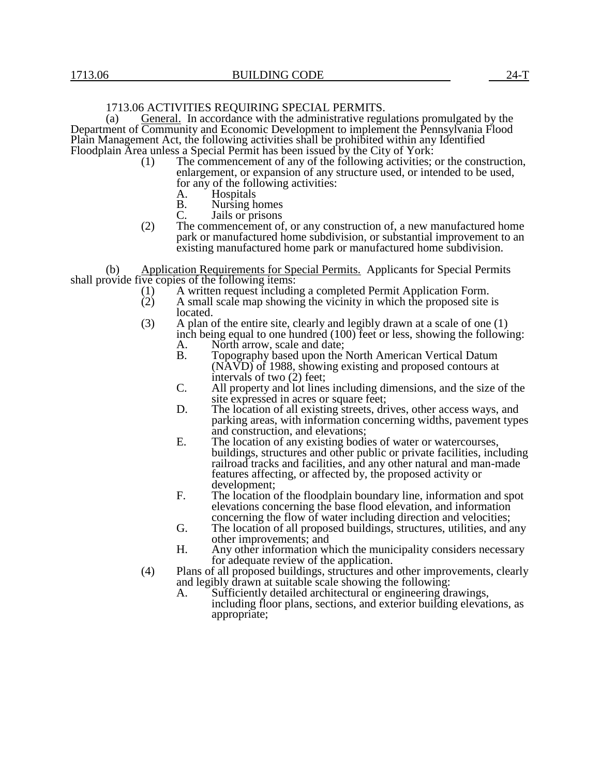## 1713.06 ACTIVITIES REQUIRING SPECIAL PERMITS.

(a) General. In accordance with the administrative regulations promulgated by the Department of Community and Economic Development to implement the Pennsylvania Flood Plain Management Act, the following activities shall be prohibited within any Identified Floodplain Area unless a Special Permit has been issued by the City of York:

- (1) The commencement of any of the following activities; or the construction, enlargement, or expansion of any structure used, or intended to be used, for any of the following activities:
	- A. Hospitals<br>B. Nursing h
	- B. Nursing homes<br>C. Jails or prisons
	- Jails or prisons
- (2) The commencement of, or any construction of, a new manufactured home park or manufactured home subdivision, or substantial improvement to an existing manufactured home park or manufactured home subdivision.

(b) Application Requirements for Special Permits. Applicants for Special Permits shall provide five copies of the following items:<br>(1)  $\overline{A}$  written request includin

- (1) A written request including a completed Permit Application Form.<br>
(2) A small scale map showing the vicinity in which the proposed site
- (2) A small scale map showing the vicinity in which the proposed site is located.
- (3) A plan of the entire site, clearly and legibly drawn at a scale of one (1) inch being equal to one hundred (100) feet or less, showing the following:
	- A. North arrow, scale and date;<br>B. Topography based upon the Topography based upon the North American Vertical Datum (NAVD) of 1988, showing existing and proposed contours at intervals of two (2) feet;
	- C. All property and lot lines including dimensions, and the size of the site expressed in acres or square feet;
	- D. The location of all existing streets, drives, other access ways, and parking areas, with information concerning widths, pavement types and construction, and elevations;
	- E. The location of any existing bodies of water or watercourses, buildings, structures and other public or private facilities, including railroad tracks and facilities, and any other natural and man-made features affecting, or affected by, the proposed activity or development;
	- F. The location of the floodplain boundary line, information and spot elevations concerning the base flood elevation, and information concerning the flow of water including direction and velocities;
	- G. The location of all proposed buildings, structures, utilities, and any other improvements; and
	- H. Any other information which the municipality considers necessary for adequate review of the application.
- (4) Plans of all proposed buildings, structures and other improvements, clearly and legibly drawn at suitable scale showing the following:
	- A. Sufficiently detailed architectural or engineering drawings, including floor plans, sections, and exterior building elevations, as appropriate;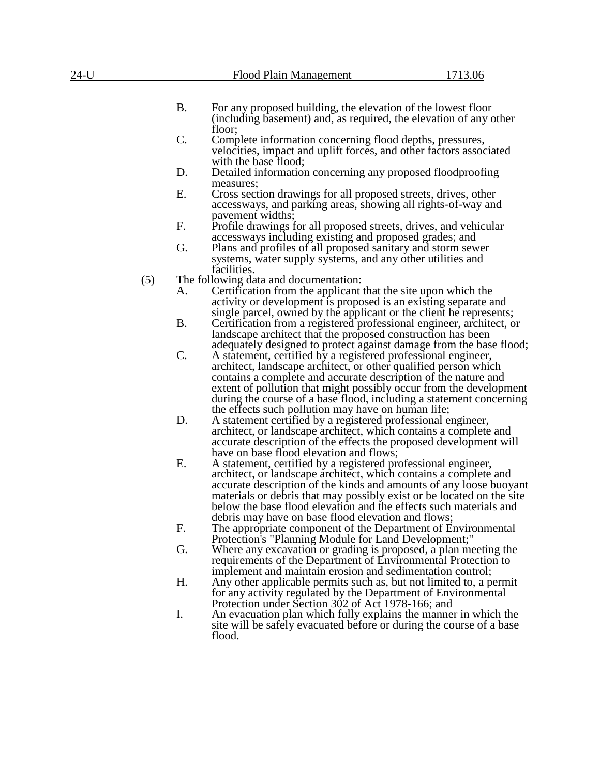| 24-U |     |           | Flood Plain Management                                                                                                                                                                                                                                                                                                                                                                                                | 1713.06 |
|------|-----|-----------|-----------------------------------------------------------------------------------------------------------------------------------------------------------------------------------------------------------------------------------------------------------------------------------------------------------------------------------------------------------------------------------------------------------------------|---------|
|      |     |           |                                                                                                                                                                                                                                                                                                                                                                                                                       |         |
|      |     | <b>B.</b> | For any proposed building, the elevation of the lowest floor<br>(including basement) and, as required, the elevation of any other                                                                                                                                                                                                                                                                                     |         |
|      |     | C.        | floor;<br>Complete information concerning flood depths, pressures,<br>velocities, impact and uplift forces, and other factors associated                                                                                                                                                                                                                                                                              |         |
|      |     | D.        | with the base flood;<br>Detailed information concerning any proposed floodproofing<br>measures;                                                                                                                                                                                                                                                                                                                       |         |
|      |     | Ε.        | Cross section drawings for all proposed streets, drives, other<br>accessways, and parking areas, showing all rights-of-way and<br>pavement widths;                                                                                                                                                                                                                                                                    |         |
|      |     | F.        | Profile drawings for all proposed streets, drives, and vehicular<br>accessways including existing and proposed grades; and                                                                                                                                                                                                                                                                                            |         |
|      |     | G.        | Plans and profiles of all proposed sanitary and storm sewer<br>systems, water supply systems, and any other utilities and<br>facilities.                                                                                                                                                                                                                                                                              |         |
|      | (5) |           | The following data and documentation:                                                                                                                                                                                                                                                                                                                                                                                 |         |
|      |     | А.        | Certification from the applicant that the site upon which the<br>activity or development is proposed is an existing separate and<br>single parcel, owned by the applicant or the client he represents;                                                                                                                                                                                                                |         |
|      |     | <b>B.</b> | Certification from a registered professional engineer, architect, or<br>landscape architect that the proposed construction has been                                                                                                                                                                                                                                                                                   |         |
|      |     | C.        | adequately designed to protect against damage from the base flood;<br>A statement, certified by a registered professional engineer,<br>architect, landscape architect, or other qualified person which<br>contains a complete and accurate description of the nature and<br>extent of pollution that might possibly occur from the development<br>during the course of a base flood, including a statement concerning |         |
|      |     | D.        | the effects such pollution may have on human life;<br>A statement certified by a registered professional engineer,<br>architect, or landscape architect, which contains a complete and<br>accurate description of the effects the proposed development will<br>have on base flood elevation and flows;                                                                                                                |         |
|      |     | Ε.        | A statement, certified by a registered professional engineer,<br>architect, or landscape architect, which contains a complete and<br>accurate description of the kinds and amounts of any loose buoyant<br>materials or debris that may possibly exist or be located on the site<br>below the base flood elevation and the effects such materials and<br>debris may have on base flood elevation and flows;           |         |
|      |     | F.        | The appropriate component of the Department of Environmental<br>Protection's "Planning Module for Land Development;"                                                                                                                                                                                                                                                                                                  |         |
|      |     | G.        | Where any excavation or grading is proposed, a plan meeting the<br>requirements of the Department of Environmental Protection to<br>implement and maintain erosion and sedimentation control;                                                                                                                                                                                                                         |         |
|      |     | H.        | Any other applicable permits such as, but not limited to, a permit<br>for any activity regulated by the Department of Environmental<br>Protection under Section 302 of Act 1978-166; and                                                                                                                                                                                                                              |         |
|      |     | I.        | An evacuation plan which fully explains the manner in which the<br>site will be safely evacuated before or during the course of a base                                                                                                                                                                                                                                                                                |         |

flood.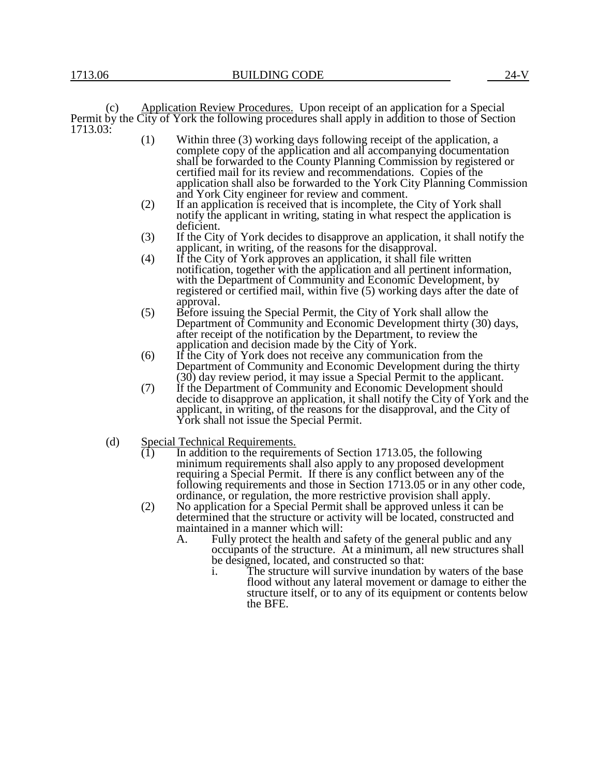(c) Application Review Procedures. Upon receipt of an application for a Special Permit by the City of York the following procedures shall apply in addition to those of Section 1713.03:

- (1) Within three (3) working days following receipt of the application, a complete copy of the application and all accompanying documentation shall be forwarded to the County Planning Commission by registered or certified mail for its review and recommendations. Copies of the application shall also be forwarded to the York City Planning Commission and York City engineer for review and comment.
- (2) If an application is received that is incomplete, the City of York shall notify the applicant in writing, stating in what respect the application is deficient.
- (3) If the City of York decides to disapprove an application, it shall notify the applicant, in writing, of the reasons for the disapproval.
- (4) If the City of York approves an application, it shall file written notification, together with the application and all pertinent information, with the Department of Community and Economic Development, by registered or certified mail, within five (5) working days after the date of approval.
- (5) Before issuing the Special Permit, the City of York shall allow the Department of Community and Economic Development thirty (30) days, after receipt of the notification by the Department, to review the application and decision made by the City of York.
- (6) If the City of York does not receive any communication from the Department of Community and Economic Development during the thirty (30) day review period, it may issue a Special Permit to the applicant.
- (7) If the Department of Community and Economic Development should decide to disapprove an application, it shall notify the City of York and the applicant, in writing, of the reasons for the disapproval, and the City of York shall not issue the Special Permit.
- (d) Special Technical Requirements.
	- $(1)$  In addition to the requirements of Section 1713.05, the following minimum requirements shall also apply to any proposed development requiring a Special Permit. If there is any conflict between any of the following requirements and those in Section 1713.05 or in any other code, ordinance, or regulation, the more restrictive provision shall apply.
	- (2) No application for a Special Permit shall be approved unless it can be determined that the structure or activity will be located, constructed and maintained in a manner which will:
		- A. Fully protect the health and safety of the general public and any occupants of the structure. At a minimum, all new structures shall be designed, located, and constructed so that:
			- i. The structure will survive inundation by waters of the base flood without any lateral movement or damage to either the structure itself, or to any of its equipment or contents below the BFE.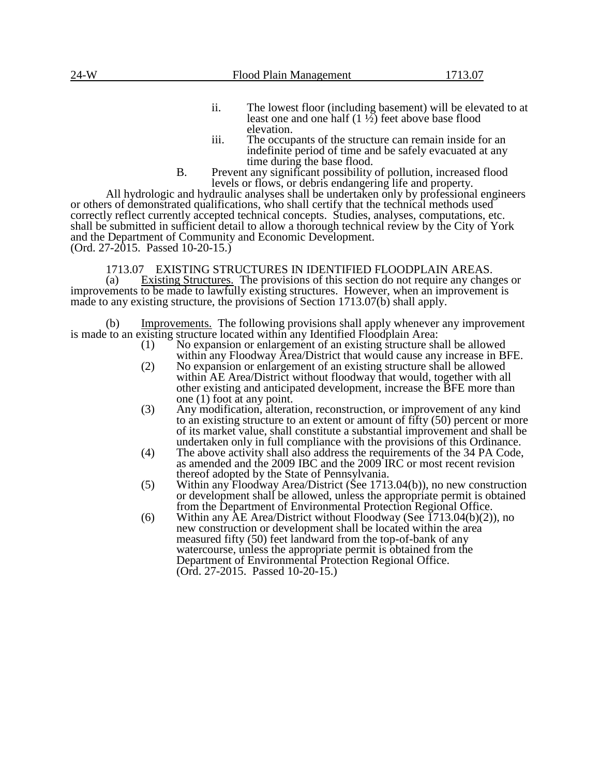- ii. The lowest floor (including basement) will be elevated to at least one and one half  $(1 \frac{1}{2})$  feet above base flood elevation.
- iii. The occupants of the structure can remain inside for an indefinite period of time and be safely evacuated at any time during the base flood.
- B. Prevent any significant possibility of pollution, increased flood levels or flows, or debris endangering life and property.

All hydrologic and hydraulic analyses shall be undertaken only by professional engineers or others of demonstrated qualifications, who shall certify that the technical methods used correctly reflect currently accepted technical concepts. Studies, analyses, computations, etc. shall be submitted in sufficient detail to allow a thorough technical review by the City of York and the Department of Community and Economic Development. (Ord. 27-2015. Passed 10-20-15.)

## 1713.07 EXISTING STRUCTURES IN IDENTIFIED FLOODPLAIN AREAS.

(a) Existing Structures. The provisions of this section do not require any changes or improvements to be made to lawfully existing structures. However, when an improvement is made to any existing structure, the provisions of Section 1713.07(b) shall apply.

(b) Improvements. The following provisions shall apply whenever any improvement is made to an existing structure located within any Identified Floodplain Area:

- (1) No expansion or enlargement of an existing structure shall be allowed within any Floodway Area/District that would cause any increase in BFE.
- (2) No expansion or enlargement of an existing structure shall be allowed within AE Area/District without floodway that would, together with all other existing and anticipated development, increase the BFE more than one (1) foot at any point.
- (3) Any modification, alteration, reconstruction, or improvement of any kind to an existing structure to an extent or amount of fifty (50) percent or more of its market value, shall constitute a substantial improvement and shall be undertaken only in full compliance with the provisions of this Ordinance.
- (4) The above activity shall also address the requirements of the 34 PA Code, as amended and the 2009 IBC and the 2009 IRC or most recent revision thereof adopted by the State of Pennsylvania.
- (5) Within any Floodway Area/District (See 1713.04(b)), no new construction or development shall be allowed, unless the appropriate permit is obtained from the Department of Environmental Protection Regional Office.
- (6) Within any  $\overline{AE}$  Area/District without Floodway (See 1713.04(b)(2)), no new construction or development shall be located within the area measured fifty (50) feet landward from the top-of-bank of any watercourse, unless the appropriate permit is obtained from the Department of Environmental Protection Regional Office. (Ord. 27-2015. Passed 10-20-15.)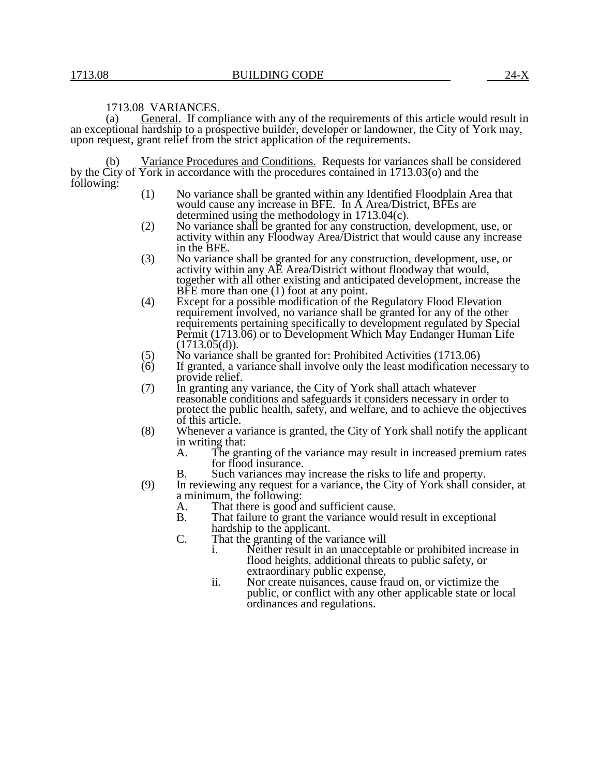#### 1713.08 VARIANCES.

(a) General. If compliance with any of the requirements of this article would result in an exceptional hardship to a prospective builder, developer or landowner, the City of York may, upon request, grant relief from the strict application of the requirements.

Variance Procedures and Conditions. Requests for variances shall be considered by the City of York in accordance with the procedures contained in 1713.03(o) and the following:

- (1) No variance shall be granted within any Identified Floodplain Area that would cause any increase in BFE. In A Area/District, BFEs are determined using the methodology in 1713.04(c).
- (2) No variance shall be granted for any construction, development, use, or activity within any Floodway Area/District that would cause any increase in the BFE.
- (3) No variance shall be granted for any construction, development, use, or activity within any AE Area/District without floodway that would, together with all other existing and anticipated development, increase the BFE more than one (1) foot at any point.
- (4) Except for a possible modification of the Regulatory Flood Elevation requirement involved, no variance shall be granted for any of the other requirements pertaining specifically to development regulated by Special Permit (1713.06) or to Development Which May Endanger Human Life  $(1713.05(d))$ .
- (5) No variance shall be granted for: Prohibited Activities  $(1713.06)$ <br>(6) If granted, a variance shall involve only the least modification ne
- If granted, a variance shall involve only the least modification necessary to provide relief.
- (7) In granting any variance, the City of York shall attach whatever reasonable conditions and safeguards it considers necessary in order to protect the public health, safety, and welfare, and to achieve the objectives of this article.
- (8) Whenever a variance is granted, the City of York shall notify the applicant in writing that:<br>A. The gra
	- The granting of the variance may result in increased premium rates for flood insurance.
	- B. Such variances may increase the risks to life and property.
- (9) In reviewing any request for a variance, the City of York shall consider, at a minimum, the following:
	- A. That there is good and sufficient cause.<br>B. That failure to grant the variance would
	- That failure to grant the variance would result in exceptional hardship to the applicant.
	- C. That the granting of the variance will
		- i. Neither result in an unacceptable or prohibited increase in flood heights, additional threats to public safety, or extraordinary public expense,
		- ii. Nor create nuisances, cause fraud on, or victimize the public, or conflict with any other applicable state or local ordinances and regulations.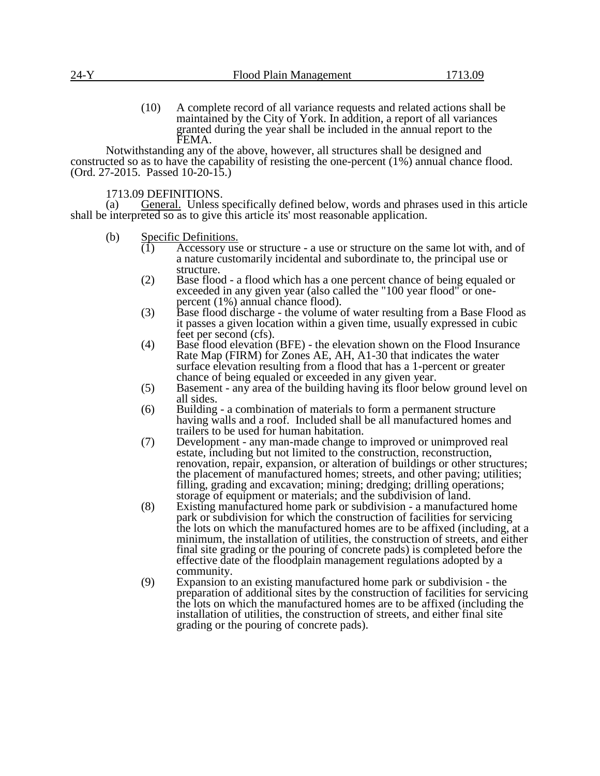(10) A complete record of all variance requests and related actions shall be maintained by the City of York. In addition, a report of all variances granted during the year shall be included in the annual report to the FEMA.

Notwithstanding any of the above, however, all structures shall be designed and constructed so as to have the capability of resisting the one-percent (1%) annual chance flood. (Ord. 27-2015. Passed 10-20-15.)

1713.09 DEFINITIONS.

(a) General. Unless specifically defined below, words and phrases used in this article shall be interpreted so as to give this article its' most reasonable application.

- (b) Specific Definitions.<br>(1) Accessory use
	- Accessory use or structure a use or structure on the same lot with, and of a nature customarily incidental and subordinate to, the principal use or structure.
	- (2) Base flood a flood which has a one percent chance of being equaled or exceeded in any given year (also called the "100 year flood" or onepercent (1%) annual chance flood).
	- (3) Base flood discharge the volume of water resulting from a Base Flood as it passes a given location within a given time, usually expressed in cubic feet per second (cfs).
	- (4) Base flood elevation (BFE) the elevation shown on the Flood Insurance Rate Map (FIRM) for Zones AE, AH, A1-30 that indicates the water surface elevation resulting from a flood that has a 1-percent or greater chance of being equaled or exceeded in any given year.
	- (5) Basement any area of the building having its floor below ground level on all sides.
	- (6) Building a combination of materials to form a permanent structure having walls and a roof. Included shall be all manufactured homes and trailers to be used for human habitation.
	- (7) Development any man-made change to improved or unimproved real estate, including but not limited to the construction, reconstruction, renovation, repair, expansion, or alteration of buildings or other structures; the placement of manufactured homes; streets, and other paving; utilities; filling, grading and excavation; mining; dredging; drilling operations; storage of equipment or materials; and the subdivision of land.
	- (8) Existing manufactured home park or subdivision a manufactured home park or subdivision for which the construction of facilities for servicing the lots on which the manufactured homes are to be affixed (including, at a minimum, the installation of utilities, the construction of streets, and either final site grading or the pouring of concrete pads) is completed before the effective date of the floodplain management regulations adopted by a community.
	- (9) Expansion to an existing manufactured home park or subdivision the preparation of additional sites by the construction of facilities for servicing the lots on which the manufactured homes are to be affixed (including the installation of utilities, the construction of streets, and either final site grading or the pouring of concrete pads).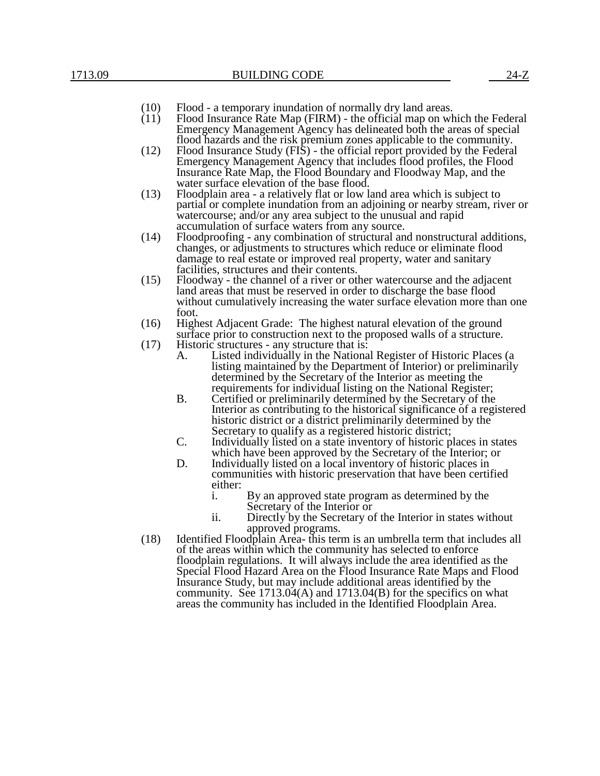- (10) Flood a temporary inundation of normally dry land areas.<br>(11) Flood Insurance Rate Map (FIRM) the official map on wh
	- Flood Insurance Rate Map (FIRM) the official map on which the Federal Emergency Management Agency has delineated both the areas of special flood hazards and the risk premium zones applicable to the community.
- (12) Flood Insurance Study (FIS) the official report provided by the Federal Emergency Management Agency that includes flood profiles, the Flood Insurance Rate Map, the Flood Boundary and Floodway Map, and the water surface elevation of the base flood.
- (13) Floodplain area a relatively flat or low land area which is subject to partial or complete inundation from an adjoining or nearby stream, river or watercourse; and/or any area subject to the unusual and rapid accumulation of surface waters from any source.
- (14) Floodproofing any combination of structural and nonstructural additions, changes, or adjustments to structures which reduce or eliminate flood damage to real estate or improved real property, water and sanitary facilities, structures and their contents.
- (15) Floodway the channel of a river or other watercourse and the adjacent land areas that must be reserved in order to discharge the base flood without cumulatively increasing the water surface elevation more than one foot.
- (16) Highest Adjacent Grade: The highest natural elevation of the ground surface prior to construction next to the proposed walls of a structure.
- (17) Historic structures any structure that is:
	- A. Listed individually in the National Register of Historic Places (a listing maintained by the Department of Interior) or preliminarily determined by the Secretary of the Interior as meeting the requirements for individual listing on the National Register;
	- B. Certified or preliminarily determined by the Secretary of the Interior as contributing to the historical significance of a registered historic district or a district preliminarily determined by the Secretary to qualify as a registered historic district;
	- C. Individually listed on a state inventory of historic places in states which have been approved by the Secretary of the Interior; or
	- D. Individually listed on a local inventory of historic places in communities with historic preservation that have been certified either:
		- i. By an approved state program as determined by the Secretary of the Interior or
		- ii. Directly by the Secretary of the Interior in states without approved programs.
- (18) Identified Floodplain Area- this term is an umbrella term that includes all of the areas within which the community has selected to enforce floodplain regulations. It will always include the area identified as the Special Flood Hazard Area on the Flood Insurance Rate Maps and Flood Insurance Study, but may include additional areas identified by the community. See  $1713.04(A)$  and  $1713.04(B)$  for the specifics on what areas the community has included in the Identified Floodplain Area.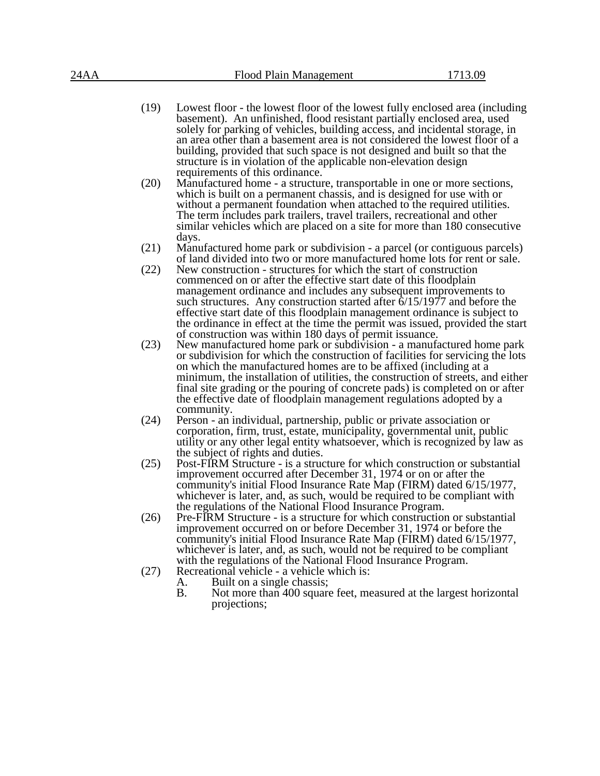- (19) Lowest floor the lowest floor of the lowest fully enclosed area (including basement). An unfinished, flood resistant partially enclosed area, used solely for parking of vehicles, building access, and incidental storage, in an area other than a basement area is not considered the lowest floor of a building, provided that such space is not designed and built so that the structure is in violation of the applicable non-elevation design requirements of this ordinance.
- (20) Manufactured home a structure, transportable in one or more sections, which is built on a permanent chassis, and is designed for use with or without a permanent foundation when attached to the required utilities. The term includes park trailers, travel trailers, recreational and other similar vehicles which are placed on a site for more than 180 consecutive days.
- (21) Manufactured home park or subdivision a parcel (or contiguous parcels) of land divided into two or more manufactured home lots for rent or sale.
- (22) New construction structures for which the start of construction commenced on or after the effective start date of this floodplain management ordinance and includes any subsequent improvements to such structures. Any construction started after  $\frac{6}{15}{1977}$  and before the effective start date of this floodplain management ordinance is subject to the ordinance in effect at the time the permit was issued, provided the start of construction was within 180 days of permit issuance.
- (23) New manufactured home park or subdivision a manufactured home park or subdivision for which the construction of facilities for servicing the lots on which the manufactured homes are to be affixed (including at a minimum, the installation of utilities, the construction of streets, and either final site grading or the pouring of concrete pads) is completed on or after the effective date of floodplain management regulations adopted by a community.
- (24) Person an individual, partnership, public or private association or corporation, firm, trust, estate, municipality, governmental unit, public utility or any other legal entity whatsoever, which is recognized by law as the subject of rights and duties.
- (25) Post-FIRM Structure is a structure for which construction or substantial improvement occurred after December 31, 1974 or on or after the community's initial Flood Insurance Rate Map (FIRM) dated 6/15/1977, whichever is later, and, as such, would be required to be compliant with the regulations of the National Flood Insurance Program.
- (26) Pre-FIRM Structure is a structure for which construction or substantial improvement occurred on or before December 31, 1974 or before the community's initial Flood Insurance Rate Map (FIRM) dated 6/15/1977, whichever is later, and, as such, would not be required to be compliant with the regulations of the National Flood Insurance Program.
- (27) Recreational vehicle a vehicle which is:
	- A. Built on a single chassis;<br>B. Not more than 400 square
	- Not more than 400 square feet, measured at the largest horizontal projections;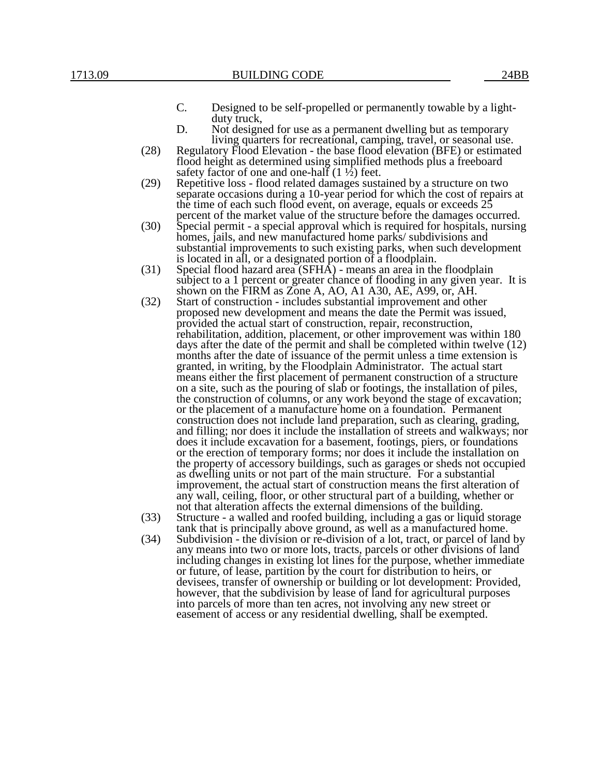- C. Designed to be self-propelled or permanently towable by a lightduty truck,
- D. Not designed for use as a permanent dwelling but as temporary living quarters for recreational, camping, travel, or seasonal use.
- (28) Regulatory Flood Elevation the base flood elevation (BFE) or estimated flood height as determined using simplified methods plus a freeboard safety factor of one and one-half  $(1 \frac{1}{2})$  feet.
- (29) Repetitive loss flood related damages sustained by a structure on two separate occasions during a 10-year period for which the cost of repairs at the time of each such flood event, on average, equals or exceeds 25 percent of the market value of the structure before the damages occurred.
- (30) Special permit a special approval which is required for hospitals, nursing homes, jails, and new manufactured home parks/ subdivisions and substantial improvements to such existing parks, when such development is located in all, or a designated portion of a floodplain.
- (31) Special flood hazard area (SFHA) means an area in the floodplain subject to a 1 percent or greater chance of flooding in any given year. It is shown on the FIRM as Zone A, AO, A1 A30, AE, A99, or, AH.
- (32) Start of construction includes substantial improvement and other proposed new development and means the date the Permit was issued, provided the actual start of construction, repair, reconstruction, rehabilitation, addition, placement, or other improvement was within 180 days after the date of the permit and shall be completed within twelve (12) months after the date of issuance of the permit unless a time extension is granted, in writing, by the Floodplain Administrator. The actual start means either the first placement of permanent construction of a structure on a site, such as the pouring of slab or footings, the installation of piles, the construction of columns, or any work beyond the stage of excavation; or the placement of a manufacture home on a foundation. Permanent construction does not include land preparation, such as clearing, grading, and filling; nor does it include the installation of streets and walkways; nor does it include excavation for a basement, footings, piers, or foundations or the erection of temporary forms; nor does it include the installation on the property of accessory buildings, such as garages or sheds not occupied as dwelling units or not part of the main structure. For a substantial improvement, the actual start of construction means the first alteration of any wall, ceiling, floor, or other structural part of a building, whether or not that alteration affects the external dimensions of the building.
- (33) Structure a walled and roofed building, including a gas or liquid storage tank that is principally above ground, as well as a manufactured home.
- (34) Subdivision the division or re-division of a lot, tract, or parcel of land by any means into two or more lots, tracts, parcels or other divisions of land including changes in existing lot lines for the purpose, whether immediate or future, of lease, partition by the court for distribution to heirs, or devisees, transfer of ownership or building or lot development: Provided, however, that the subdivision by lease of land for agricultural purposes into parcels of more than ten acres, not involving any new street or easement of access or any residential dwelling, shall be exempted.